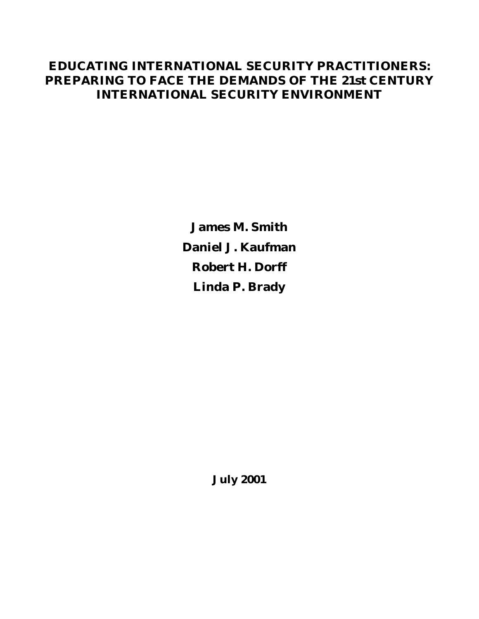## **EDUCATING INTERNATIONAL SECURITY PRACTITIONERS: PREPARING TO FACE THE DEMANDS OF THE 21st CENTURY INTERNATIONAL SECURITY ENVIRONMENT**

**James M. Smith Dan iel J. Kaufman Robert H. Dorff Linda P. Brady**

**July 2001**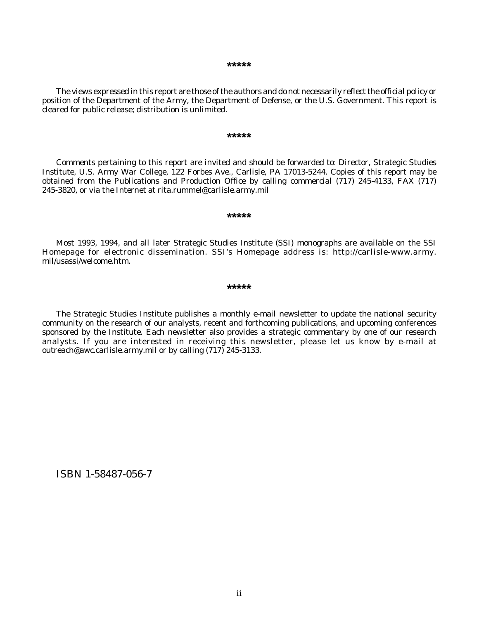#### **\*\*\*\*\***

The views expressed in this report are those of the authors and do not necessarily reflect the official policy or position of the Department of the Army, the Department of Defense, or the U.S. Government. This report is cleared for public release; distribution is unlimited.

#### **\*\*\*\*\***

Comments pertaining to this report are invited and should be forwarded to: Director, Strategic Studies Institute, U.S. Army War College, 122 Forbes Ave., Carlisle, PA 17013-5244. Copies of this report may be obtained from the Publications and Production Office by calling commercial (717) 245-4133, FAX (717) 245-3820, or via the Internet at rita.rummel@carlisle.army.mil

#### **\*\*\*\*\***

Most 1993, 1994, and all later Strategic Studies Institute (SSI) monographs are available on the SSI Homepage for electronic dissemination. SSI's Homepage address is: http://carlisle-www.army. mil/usassi/welcome.htm.

#### **\*\*\*\*\***

The Strategic Studies Institute publishes a monthly e-mail newsletter to update the national security community on the research of our analysts, recent and forthcoming publications, and upcoming conferences sponsored by the Institute. Each newsletter also provides a strategic commentary by one of our research analysts. If you are interested in receiving this newsletter, please let us know by e-mail at outreach@awc.carlisle.army.mil or by calling (717) 245-3133.

ISBN 1-58487-056-7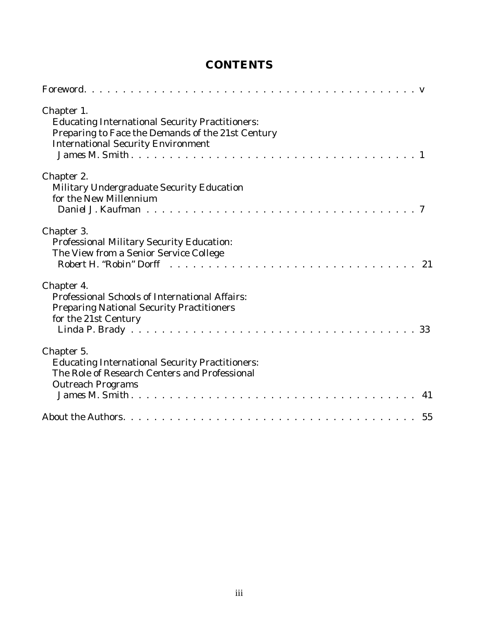## **CONTENTS**

| Chapter 1.<br><b>Educating International Security Practitioners:</b><br>Preparing to Face the Demands of the 21st Century<br><b>International Security Environment</b> |  |
|------------------------------------------------------------------------------------------------------------------------------------------------------------------------|--|
| Chapter 2.<br>Military Undergraduate Security Education<br>for the New Millennium                                                                                      |  |
| Chapter 3.<br>Professional Military Security Education:<br>The View from a Senior Service College                                                                      |  |
| Chapter 4.<br>Professional Schools of International Affairs:<br><b>Preparing National Security Practitioners</b><br>for the 21st Century                               |  |
| Chapter 5.<br><b>Educating International Security Practitioners:</b><br>The Role of Research Centers and Professional<br><b>Outreach Programs</b>                      |  |
|                                                                                                                                                                        |  |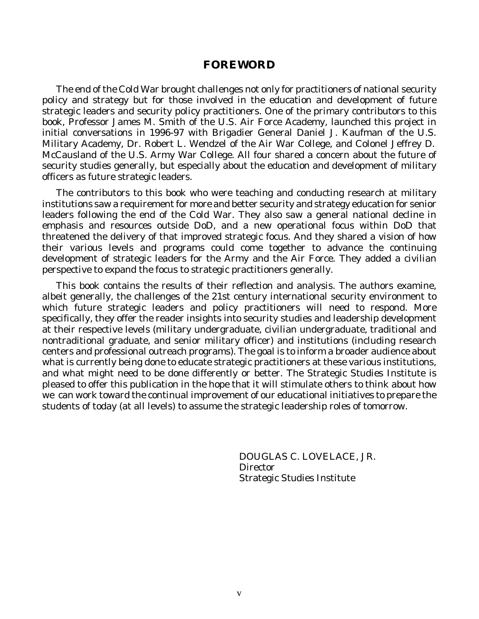### **FOREWORD**

The end of the Cold War brought challenges not only for practitioners of national security policy and strategy but for those involved in the education and development of future strategic leaders and security policy practitioners. One of the primary contributors to this book, Professor James M. Smith of the U.S. Air Force Academy, launched this project in initial conversations in 1996-97 with Brigadier General Daniel J. Kaufman of the U.S. Military Academy, Dr. Robert L. Wendzel of the Air War College, and Colonel Jeffrey D. McCausland of the U.S. Army War College. All four shared a concern about the future of security studies generally, but especially about the education and development of military officers as future strategic leaders.

The contributors to this book who were teaching and conducting research at military institutions saw a requirement for more and better security and strategy education for senior leaders following the end of the Cold War. They also saw a general national decline in emphasis and resources outside DoD, and a new operational focus within DoD that threatened the delivery of that improved strategic focus. And they shared a vision of how their various levels and programs could come together to advance the continuing development of strategic leaders for the Army and the Air Force. They added a civilian perspective to expand the focus to strategic practitioners generally.

This book contains the results of their reflection and analysis. The authors examine, albeit generally, the challenges of the 21st century international security environment to which future strategic leaders and policy practitioners will need to respond. More specifically, they offer the reader insights into security studies and leadership development at their respective levels (military undergraduate, civilian undergraduate, traditional and nontraditional graduate, and senior military officer) and institutions (including research centers and professional outreach programs). The goal is to inform a broader audience about what is currently being done to educate strategic practitioners at these various institutions, and what might need to be done differently or better. The Strategic Studies Institute is pleased to offer this publication in the hope that it will stimulate others to think about how we can work toward the continual improvement of our educational initiatives to prepare the students of today (at all levels) to assume the strategic leadership roles of tomorrow.

> DOUGLAS C. LOVELACE, JR. **Director** Strategic Studies Institute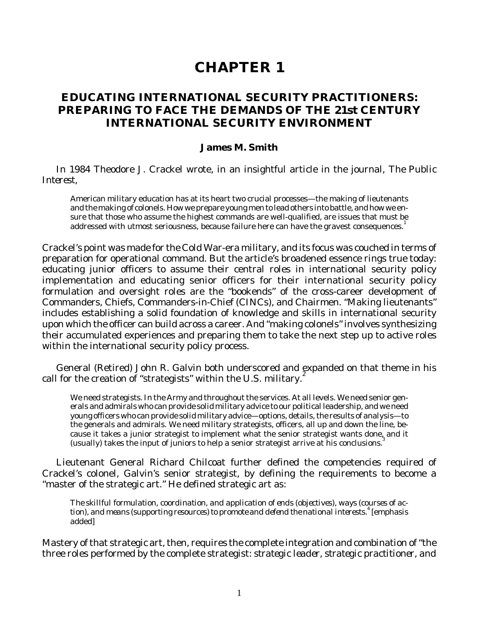# **CHAPTER 1**

## **EDUCATING INTERNATIONAL SECURITY PRACTITIONERS: PREPARING TO FACE THE DEMANDS OF THE 21st CENTURY INTERNATIONAL SECURITY ENVIRONMENT**

#### **James M. Smith**

In 1984 Theodore J. Crackel wrote, in an insightful article in the journal, *The Public Interest*,

American military education has at its heart two crucial processes—the making of lieutenants and the making of colonels. How we prepare young men to lead others into battle, and how we ensure that those who assume the highest commands are well-qualified, are issues that must be addressed with utmost seriousness, because failure here can have the gravest consequences.<sup>1</sup>

Crackel's point was made for the Cold War-era military, and its focus was couched in terms of preparation for operational command. But the article's broadened essence rings true today: educating junior officers to assume their central roles in international security policy implementation and educating senior officers for their international security policy formulation and oversight roles are the "bookends" of the cross-career development of Commanders, Chiefs, Commanders-in-Chief (CINCs), and Chairmen. "Making lieutenants" includes establishing a solid foundation of knowledge and skills in international security upon which the officer can build across a career. And "making colonels" involves synthesizing their accumulated experiences and preparing them to take the next step up to active roles within the international security policy process.

General (Retired) John R. Galvin both underscored and expanded on that theme in his call for the creation of "strategists" within the U.S. military.<sup>2</sup>

We need strategists. In the Army and throughout the services. At all levels. We need senior generals and admirals who can provide solid military advice to our political leadership, and we need young officers who can provide solid military advice—options, details, the results of analysis—to the generals and admirals. We need military strategists, officers, all up and down the line, because it takes a junior strategist to implement what the senior strategist wants done, and it (usually) takes the input of juniors to help a senior strategist arrive at his conclusions. $3$ 

Lieutenant General Richard Chilcoat further defined the competencies required of Crackel's colonel, Galvin's senior strategist, by defining the requirements to become a "master of the strategic art." He defined strategic art as:

The skillful formulation, coordination, and application of ends (objectives), ways (courses of action), and means (supporting resources) to promote and defend the national interests.<sup>4</sup> [emphasis added]

Mastery of that strategic art, then, requires the complete integration and combination of "the three roles performed by the complete strategist: *strategic leader, strategic practitioner, and*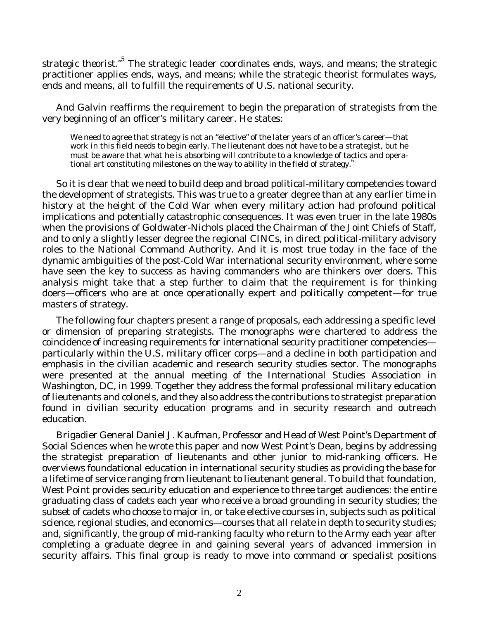strategic theorist."<sup>5</sup> The strategic leader coordinates ends, ways, and means; the strategic practitioner applies ends, ways, and means; while the strategic theorist formulates ways, ends and means, all to fulfill the requirements of U.S. national security.

And Galvin reaffirms the requirement to begin the preparation of strategists from the very beginning of an officer's military career. He states:

We need to agree that strategy is not an "elective" of the later years of an officer's career-that work in this field needs to begin early. The lieutenant does not have to be a strategist, but he must be aware that what he is absorbing will contribute to a knowledge of tactics and operational art constituting milestones on the way to ability in the field of strategy.

So it is clear that we need to build deep and broad political-military competencies toward the development of strategists. This was true to a greater degree than at any earlier time in history at the height of the Cold War when every military action had profound political implications and potentially catastrophic consequences. It was even truer in the late 1980s when the provisions of Goldwater-Nichols placed the Chairman of the Joint Chiefs of Staff, and to only a slightly lesser degree the regional CINCs, in direct political-military advisory roles to the National Command Authority. And it is most true today in the face of the dynamic ambiguities of the post-Cold War international security environment, where some have seen the key to success as having commanders who are thinkers over doers. This analysis might take that a step further to claim that the requirement is for thinking doers—officers who are at once operationally expert and politically competent—for true masters of strategy.

The following four chapters present a range of proposals, each addressing a specific level or dimension of preparing strategists. The monographs were chartered to address the coincidence of increasing requirements for international security practitioner competencies particularly within the U.S. military officer corps—and a decline in both participation and emphasis in the civilian academic and research security studies sector. The monographs were presented at the annual meeting of the International Studies Association in Washington, DC, in 1999. Together they address the formal professional military education of lieutenants and colonels, and they also address the contributions to strategist preparation found in civilian security education programs and in security research and outreach education.

Brigadier General Daniel J. Kaufman, Professor and Head of West Point's Department of Social Sciences when he wrote this paper and now West Point's Dean, begins by addressing the strategist preparation of lieutenants and other junior to mid-ranking officers. He overviews foundational education in international security studies as providing the base for a lifetime of service ranging from lieutenant to lieutenant general. To build that foundation, West Point provides security education and experience to three target audiences: the entire graduating class of cadets each year who receive a broad grounding in security studies; the subset of cadets who choose to major in, or take elective courses in, subjects such as political science, regional studies, and economics—courses that all relate in depth to security studies; and, significantly, the group of mid-ranking faculty who return to the Army each year after completing a graduate degree in and gaining several years of advanced immersion in security affairs. This final group is ready to move into command or specialist positions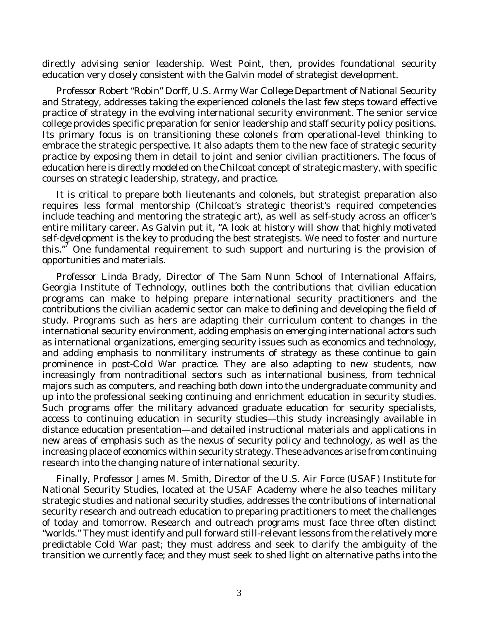directly advising senior leadership. West Point, then, provides foundational security education very closely consistent with the Galvin model of strategist development.

Professor Robert "Robin" Dorff, U.S. Army War College Department of National Security and Strategy, addresses taking the experienced colonels the last few steps toward effective practice of strategy in the evolving international security environment. The senior service college provides specific preparation for senior leadership and staff security policy positions. Its primary focus is on transitioning these colonels from operational-level thinking to embrace the strategic perspective. It also adapts them to the new face of strategic security practice by exposing them in detail to joint and senior civilian practitioners. The focus of education here is directly modeled on the Chilcoat concept of strategic mastery, with specific courses on strategic leadership, strategy, and practice.

It is critical to prepare both lieutenants and colonels, but strategist preparation also requires less formal mentorship (Chilcoat's strategic theorist's required competencies include teaching and mentoring the strategic art), as well as self-study across an officer's entire military career. As Galvin put it, "A look at history will show that *highly motivated self-development is the key* to producing the best strategists. We need to foster and nurture this."<sup>7</sup> One fundamental requirement to such support and nurturing is the provision of opportunities and materials.

Professor Linda Brady, Director of The Sam Nunn School of International Affairs, Georgia Institute of Technology, outlines both the contributions that civilian education programs can make to helping prepare international security practitioners and the contributions the civilian academic sector can make to defining and developing the field of study. Programs such as hers are adapting their curriculum content to changes in the international security environment, adding emphasis on emerging international actors such as international organizations, emerging security issues such as economics and technology, and adding emphasis to nonmilitary instruments of strategy as these continue to gain prominence in post-Cold War practice. They are also adapting to new students, now increasingly from nontraditional sectors such as international business, from technical majors such as computers, and reaching both down into the undergraduate community and up into the professional seeking continuing and enrichment education in security studies. Such programs offer the military advanced graduate education for security specialists, access to continuing education in security studies—this study increasingly available in distance education presentation—and detailed instructional materials and applications in new areas of emphasis such as the nexus of security policy and technology, as well as the increasing place of economics within security strategy. These advances arise from continuing research into the changing nature of international security.

Finally, Professor James M. Smith, Director of the U.S. Air Force (USAF) Institute for National Security Studies, located at the USAF Academy where he also teaches military strategic studies and national security studies, addresses the contributions of international security research and outreach education to preparing practitioners to meet the challenges of today and tomorrow. Research and outreach programs must face three often distinct "worlds." They must identify and pull forward still-relevant lessons from the relatively more predictable Cold War past; they must address and seek to clarify the ambiguity of the transition we currently face; and they must seek to shed light on alternative paths into the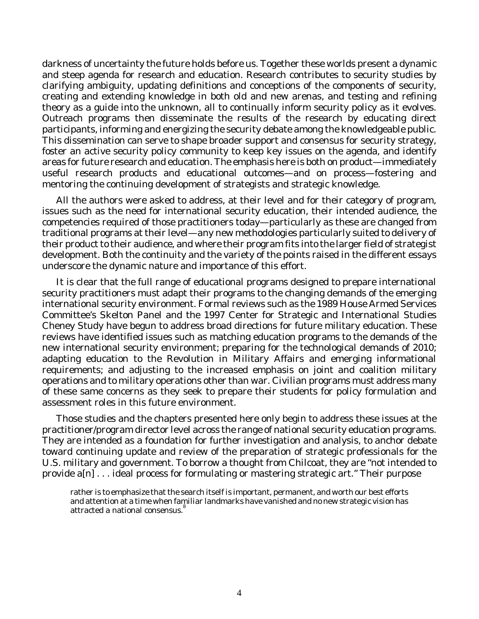darkness of uncertainty the future holds before us. Together these worlds present a dynamic and steep agenda for research and education. Research contributes to security studies by clarifying ambiguity, updating definitions and conceptions of the components of security, creating and extending knowledge in both old and new arenas, and testing and refining theory as a guide into the unknown, all to continually inform security policy as it evolves. Outreach programs then disseminate the results of the research by educating direct participants, informing and energizing the security debate among the knowledgeable public. This dissemination can serve to shape broader support and consensus for security strategy, foster an active security policy community to keep key issues on the agenda, and identify areas for future research and education. The emphasis here is both on product—immediately useful research products and educational outcomes—and on process—fostering and mentoring the continuing development of strategists and strategic knowledge.

All the authors were asked to address, at their level and for their category of program, issues such as the need for international security education, their intended audience, the competencies required of those practitioners today—particularly as these are changed from traditional programs at their level—any new methodologies particularly suited to delivery of their product to their audience, and where their program fits into the larger field of strategist development. Both the continuity and the variety of the points raised in the different essays underscore the dynamic nature and importance of this effort.

It is clear that the full range of educational programs designed to prepare international security practitioners must adapt their programs to the changing demands of the emerging international security environment. Formal reviews such as the 1989 House Armed Services Committee's Skelton Panel and the 1997 Center for Strategic and International Studies Cheney Study have begun to address broad directions for future military education. These reviews have identified issues such as matching education programs to the demands of the new international security environment; preparing for the technological demands of 2010; adapting education to the Revolution in Military Affairs and emerging informational requirements; and adjusting to the increased emphasis on joint and coalition military operations and to military operations other than war. Civilian programs must address many of these same concerns as they seek to prepare their students for policy formulation and assessment roles in this future environment.

Those studies and the chapters presented here only begin to address these issues at the practitioner/program director level across the range of national security education programs. They are intended as a foundation for further investigation and analysis, to anchor debate toward continuing update and review of the preparation of strategic professionals for the U.S. military and government. To borrow a thought from Chilcoat, they are "not intended to provide a[n] . . . ideal process for formulating or mastering strategic art." Their purpose

rather is to emphasize that the search itself is important, permanent, and worth our best efforts and attention at a time when familiar landmarks have vanished and no new strategic vision has attracted a national consensus. $^\mathrm{8}$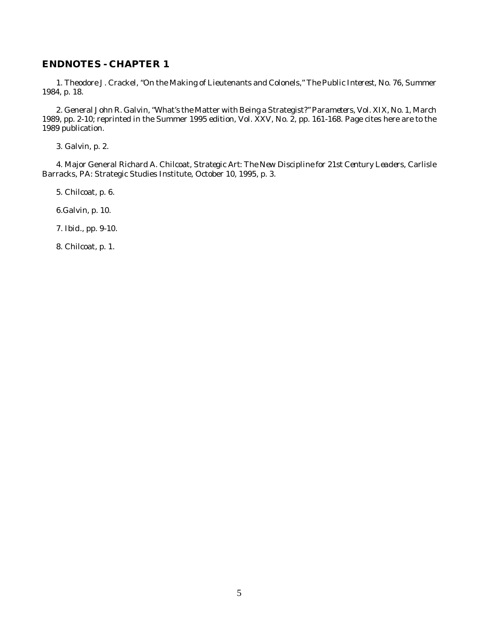#### **ENDNOTES - CHAPTER 1**

1. Theodore J. Crackel, "On the Making of Lieutenants and Colonels," *The Public Interest*, No. 76, Summer 1984, p. 18.

2. General John R. Galvin, "What's the Matter with Being a Strategist?" *Parameters*, Vol. XIX, No. 1, March 1989, pp. 2-10; reprinted in the Summer 1995 edition, Vol. XXV, No. 2, pp. 161-168. Page cites here are to the 1989 publication.

3. Galvin, p. 2.

4. Major General Richard A. Chilcoat, *Strategic Art: The New Discipline for 21st Century Leaders*, Carlisle Barracks, PA: Strategic Studies Institute, October 10, 1995, p. 3.

5. Chilcoat, p. 6.

6.Galvin, p. 10.

7. *Ibid*., pp. 9-10.

8. Chilcoat, p. 1.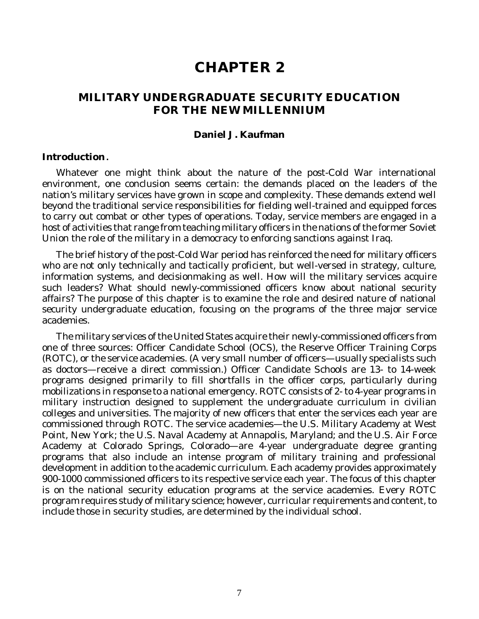# **CHAPTER 2**

## **MILITARY UNDERGRADUATE SECURITY EDUCATION FOR THE NEW MILLENNIUM**

#### **Daniel J. Kaufman**

#### **In tro duc tion.**

Whatever one might think about the nature of the post-Cold War international environment, one conclusion seems certain: the demands placed on the leaders of the nation's military services have grown in scope and complexity. These demands extend well beyond the traditional service responsibilities for fielding well-trained and equipped forces to carry out combat or other types of operations. Today, service members are engaged in a host of activities that range from teaching military officers in the nations of the former Soviet Union the role of the military in a democracy to enforcing sanctions against Iraq.

The brief history of the post-Cold War period has reinforced the need for military officers who are not only technically and tactically proficient, but well-versed in strategy, culture, information systems, and decisionmaking as well. How will the military services acquire such leaders? What should newly-commissioned officers know about national security affairs? The purpose of this chapter is to examine the role and desired nature of national security undergraduate education, focusing on the programs of the three major service academies.

The military services of the United States acquire their newly-commissioned officers from one of three sources: Officer Candidate School (OCS), the Reserve Officer Training Corps (ROTC), or the service academies. (A very small number of officers—usually specialists such as doctors—receive a direct commission.) Officer Candidate Schools are 13- to 14-week programs designed primarily to fill shortfalls in the officer corps, particularly during mobilizations in response to a national emergency. ROTC consists of 2- to 4-year programs in military instruction designed to supplement the undergraduate curriculum in civilian colleges and universities. The majority of new officers that enter the services each year are commissioned through ROTC. The service academies—the U.S. Military Academy at West Point, New York; the U.S. Naval Academy at Annapolis, Maryland; and the U.S. Air Force Academy at Colorado Springs, Colorado—are 4-year undergraduate degree granting programs that also include an intense program of military training and professional development in addition to the academic curriculum. Each academy provides approximately 900-1000 commissioned officers to its respective service each year. The focus of this chapter is on the national security education programs at the service academies. Every ROTC program requires study of military science; however, curricular requirements and content, to include those in security studies, are determined by the individual school.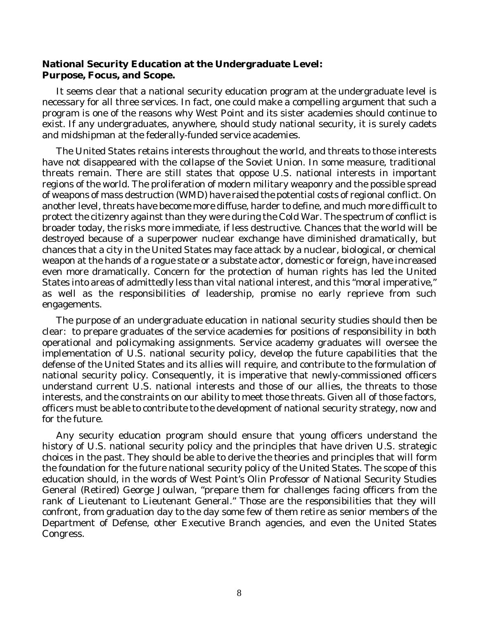### **National Security Education at the Undergraduate Level:** Purpose, Focus, and Scope.

It seems clear that a national security education program at the undergraduate level is necessary for all three services. In fact, one could make a compelling argument that such a program is one of the reasons why West Point and its sister academies should continue to exist. If any undergraduates, anywhere, should study national security, it is surely cadets and midshipman at the federally-funded service academies.

The United States retains interests throughout the world, and threats to those interests have not disappeared with the collapse of the Soviet Union. In some measure, traditional threats remain. There are still states that oppose U.S. national interests in important regions of the world. The proliferation of modern military weaponry and the possible spread of weapons of mass destruction (WMD) have raised the potential costs of regional conflict. On another level, threats have become more diffuse, harder to define, and much more difficult to protect the citizenry against than they were during the Cold War. The spectrum of conflict is broader today, the risks more immediate, if less destructive. Chances that the world will be destroyed because of a superpower nuclear exchange have diminished dramatically, but chances that a city in the United States may face attack by a nuclear, biological, or chemical weapon at the hands of a rogue state or a substate actor, domestic or foreign, have increased even more dramatically. Concern for the protection of human rights has led the United States into areas of admittedly less than vital national interest, and this "moral imperative," as well as the responsibilities of leadership, promise no early reprieve from such engagements.

The purpose of an undergraduate education in national security studies should then be clear: to prepare graduates of the service academies for positions of responsibility in both operational and policymaking assignments. Service academy graduates will oversee the implementation of U.S. national security policy, develop the future capabilities that the defense of the United States and its allies will require, and contribute to the formulation of national security policy. Consequently, it is imperative that newly-commissioned officers understand current U.S. national interests and those of our allies, the threats to those interests, and the constraints on our ability to meet those threats. Given all of those factors, officers must be able to contribute to the development of national security strategy, now and for the future.

Any security education program should ensure that young officers understand the history of U.S. national security policy and the principles that have driven U.S. strategic choices in the past. They should be able to derive the theories and principles that will form the foundation for the future national security policy of the United States. The scope of this education should, in the words of West Point's Olin Professor of National Security Studies General (Retired) George Joulwan, "prepare them for challenges facing officers from the rank of Lieutenant to Lieutenant General." Those are the responsibilities that they will confront, from graduation day to the day some few of them retire as senior members of the Department of Defense, other Executive Branch agencies, and even the United States Congress.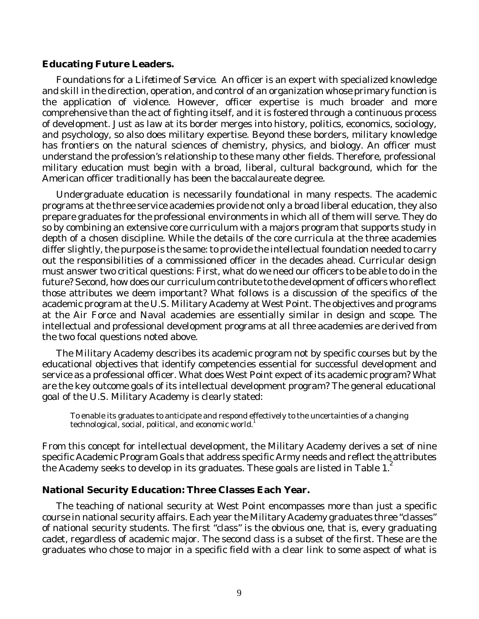#### **Educating Future Leaders.**

*Foundations for a Lifetime of Service*. An officer is an expert with specialized knowledge and skill in the direction, operation, and control of an organization whose primary function is the application of violence. However, officer expertise is much broader and more comprehensive than the act of fighting itself, and it is fostered through a continuous process of development. Just as law at its border merges into history, politics, economics, sociology, and psychology, so also does military expertise. Beyond these borders, military knowledge has frontiers on the natural sciences of chemistry, physics, and biology. An officer must understand the profession's relationship to these many other fields. Therefore, professional military education must begin with a broad, liberal, cultural background, which for the American officer traditionally has been the baccalaureate degree.

Undergraduate education is necessarily foundational in many respects. The academic programs at the three service academies provide not only a broad liberal education, they also prepare graduates for the professional environments in which all of them will serve. They do so by combining an extensive core curriculum with a majors program that supports study in depth of a chosen discipline. While the details of the core curricula at the three academies differ slightly, the purpose is the same: to provide the intellectual foundation needed to carry out the responsibilities of a commissioned officer in the decades ahead. Curricular design must answer two critical questions: First, what do we need our officers to be able to do in the future? Second, how does our curriculum contribute to the development of officers who reflect those attributes we deem important? What follows is a discussion of the specifics of the academic program at the U.S. Military Academy at West Point. The objectives and programs at the Air Force and Naval academies are essentially similar in design and scope. The intellectual and professional development programs at all three academies are derived from the two focal questions noted above.

The Military Academy describes its academic program not by specific courses but by the educational objectives that identify competencies essential for successful development and service as a professional officer. What does West Point expect of its academic program? What are the key outcome goals of its intellectual development program? The general educational goal of the U.S. Military Academy is clearly stated:

To enable its graduates to anticipate and respond effectively to the uncertainties of a changing  $t$ echnological, social, political, and economic world.<sup>1</sup>

From this concept for intellectual development, the Military Academy derives a set of nine specific Academic Program Goals that address specific Army needs and reflect the attributes the Academy seeks to develop in its graduates. These goals are listed in Table 1.

#### **National Security Education: Three Classes Each Year.**

The teaching of national security at West Point encompasses more than just a specific course in national security affairs. Each year the Military Academy graduates three "classes" of national security students. The first "class" is the obvious one, that is, every graduating cadet, regardless of academic major. The second class is a subset of the first. These are the graduates who chose to major in a specific field with a clear link to some aspect of what is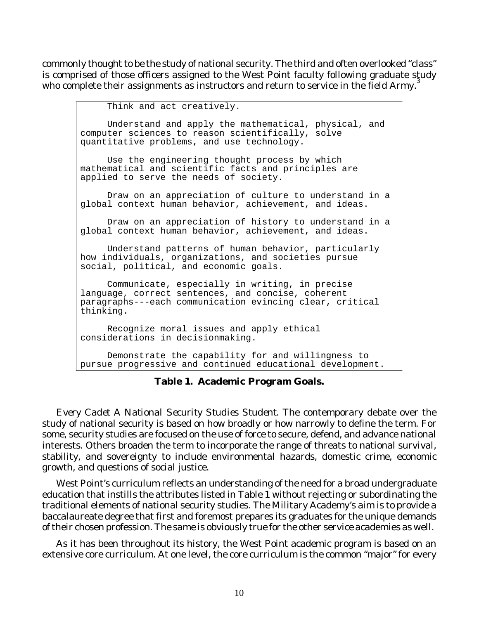commonly thought to be the study of national security. The third and often overlooked "class" is comprised of those officers assigned to the West Point faculty following graduate study<br>who complete their costruments as instructors and return to complete in the field farmed who complete their assignments as instructors and return to service in the field Army.

Think and act creatively. Understand and apply the mathematical, physical, and computer sciences to reason scientifically, solve quantitative problems, and use technology. Use the engineering thought process by which mathematical and scientific facts and principles are applied to serve the needs of society. Draw on an appreciation of culture to understand in a global context human behavior, achievement, and ideas. Draw on an appreciation of history to understand in a global context human behavior, achievement, and ideas. Understand patterns of human behavior, particularly how individuals, organizations, and societies pursue social, political, and economic goals. Communicate, especially in writing, in precise language, correct sentences, and concise, coherent paragraphs---each communication evincing clear, critical thinking. Recognize moral issues and apply ethical considerations in decisionmaking. Demonstrate the capability for and willingness to pursue progressive and continued educational development.

**Table 1. Academic Program Goals.**

*Every Cadet A National Security Studies Student*. The contemporary debate over the study of national security is based on how broadly or how narrowly to define the term. For some, security studies are focused on the use of force to secure, defend, and advance national interests. Others broaden the term to incorporate the range of threats to national survival, stability, and sovereignty to include environmental hazards, domestic crime, economic growth, and questions of social justice.

West Point's curriculum reflects an understanding of the need for a broad undergraduate education that instills the attributes listed in Table 1 without rejecting or subordinating the traditional elements of national security studies. The Military Academy's aim is to provide a baccalaureate degree that first and foremost prepares its graduates for the unique demands of their chosen profession. The same is obviously true for the other service academies as well.

As it has been throughout its history, the West Point academic program is based on an extensive core curriculum. At one level, the core curriculum is the common "major" for every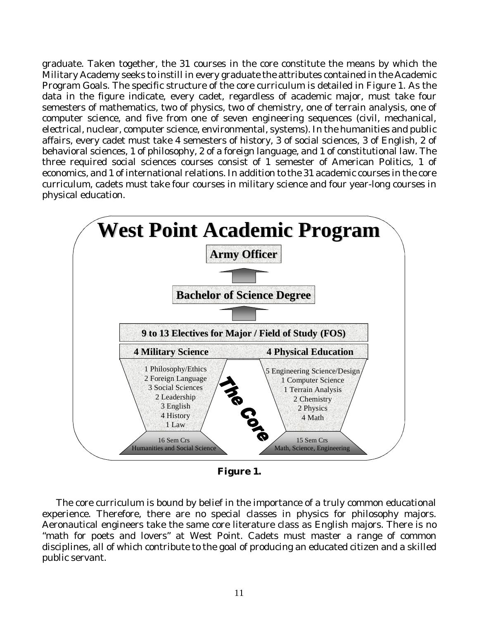graduate. Taken together, the 31 courses in the core constitute the means by which the Military Academy seeks to instill in every graduate the attributes contained in the Academic Program Goals. The specific structure of the core curriculum is detailed in Figure 1. As the data in the figure indicate, every cadet, regardless of academic major, must take four semesters of mathematics, two of physics, two of chemistry, one of terrain analysis, one of computer science, and five from one of seven engineering sequences (civil, mechanical, electrical, nuclear, computer science, environmental, systems). In the humanities and public affairs, every cadet must take 4 semesters of history, 3 of social sciences, 3 of English, 2 of behavioral sciences, 1 of philosophy, 2 of a foreign language, and 1 of constitutional law. The three required social sciences courses consist of 1 semester of American Politics, 1 of economics, and 1 of international relations. In addition to the 31 academic courses in the core curriculum, cadets must take four courses in military science and four year-long courses in physical education.



**Figure 1.**

The core curriculum is bound by belief in the importance of a truly common educational experience. Therefore, there are no special classes in physics for philosophy majors. Aeronautical engineers take the same core literature class as English majors. There is no "math for poets and lovers" at West Point. Cadets must master a range of common disciplines, all of which contribute to the goal of producing an educated citizen and a skilled public servant.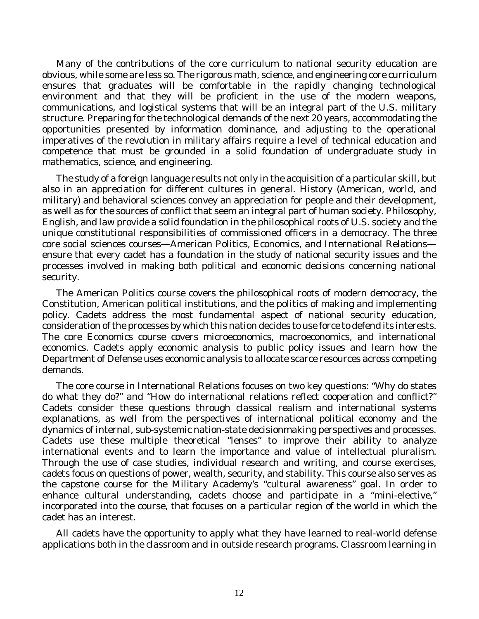Many of the contributions of the core curriculum to national security education are obvious, while some are less so. The rigorous math, science, and engineering core curriculum ensures that graduates will be comfortable in the rapidly changing technological environment and that they will be proficient in the use of the modern weapons, communications, and logistical systems that will be an integral part of the U.S. military structure. Preparing for the technological demands of the next 20 years, accommodating the opportunities presented by information dominance, and adjusting to the operational imperatives of the revolution in military affairs require a level of technical education and competence that must be grounded in a solid foundation of undergraduate study in mathematics, science, and engineering.

The study of a foreign language results not only in the acquisition of a particular skill, but also in an appreciation for different cultures in general. History (American, world, and military) and behavioral sciences convey an appreciation for people and their development, as well as for the sources of conflict that seem an integral part of human society. Philosophy, English, and law provide a solid foundation in the philosophical roots of U.S. society and the unique constitutional responsibilities of commissioned officers in a democracy. The three core social sciences courses—American Politics, Economics, and International Relations ensure that every cadet has a foundation in the study of national security issues and the processes involved in making both political and economic decisions concerning national security.

The American Politics course covers the philosophical roots of modern democracy, the Constitution, American political institutions, and the politics of making and implementing policy. Cadets address the most fundamental aspect of national security education, consideration of the processes by which this nation decides to use force to defend its interests. The core Economics course covers microeconomics, macroeconomics, and international economics. Cadets apply economic analysis to public policy issues and learn how the Department of Defense uses economic analysis to allocate scarce resources across competing demands.

The core course in International Relations focuses on two key questions: "Why do states do what they do?" and "How do international relations reflect cooperation and conflict?" Cadets consider these questions through classical realism and international systems explanations, as well from the perspectives of international political economy and the dynamics of internal, sub-systemic nation-state decisionmaking perspectives and processes. Cadets use these multiple theoretical "lenses" to improve their ability to analyze international events and to learn the importance and value of intellectual pluralism. Through the use of case studies, individual research and writing, and course exercises, cadets focus on questions of power, wealth, security, and stability. This course also serves as the capstone course for the Military Academy's "cultural awareness" goal. In order to enhance cultural understanding, cadets choose and participate in a "mini-elective," incorporated into the course, that focuses on a particular region of the world in which the cadet has an interest.

All cadets have the opportunity to apply what they have learned to real-world defense applications both in the classroom and in outside research programs. Classroom learning in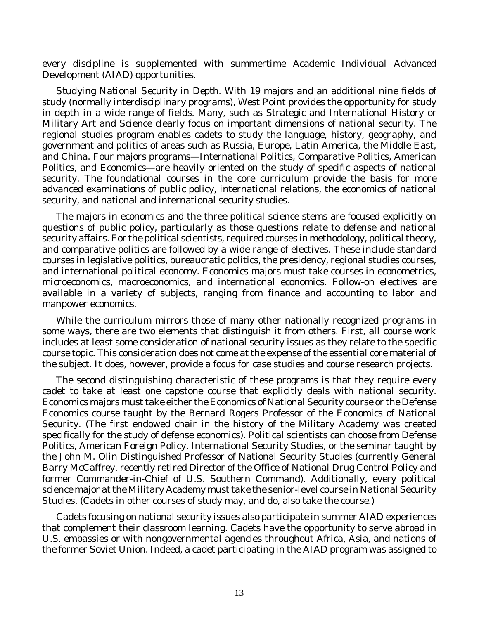every discipline is supplemented with summertime Academic Individual Advanced Development (AIAD) opportunities.

*Studying National Security in Depth*. With 19 majors and an additional nine fields of study (normally interdisciplinary programs), West Point provides the opportunity for study in depth in a wide range of fields. Many, such as Strategic and International History or Military Art and Science clearly focus on important dimensions of national security. The regional studies program enables cadets to study the language, history, geography, and government and politics of areas such as Russia, Europe, Latin America, the Middle East, and China. Four majors programs—International Politics, Comparative Politics, American Politics, and Economics—are heavily oriented on the study of specific aspects of national security. The foundational courses in the core curriculum provide the basis for more advanced examinations of public policy, international relations, the economics of national security, and national and international security studies.

The majors in economics and the three political science stems are focused explicitly on questions of public policy, particularly as those questions relate to defense and national security affairs. For the political scientists, required courses in methodology, political theory, and comparative politics are followed by a wide range of electives. These include standard courses in legislative politics, bureaucratic politics, the presidency, regional studies courses, and international political economy. Economics majors must take courses in econometrics, microeconomics, macroeconomics, and international economics. Follow-on electives are available in a variety of subjects, ranging from finance and accounting to labor and manpower economics.

While the curriculum mirrors those of many other nationally recognized programs in some ways, there are two elements that distinguish it from others. First, all course work includes at least some consideration of national security issues as they relate to the specific course topic. This consideration does not come at the expense of the essential core material of the subject. It does, however, provide a focus for case studies and course research projects.

The second distinguishing characteristic of these programs is that they require every cadet to take at least one capstone course that explicitly deals with national security. Economics majors must take either the Economics of National Security course or the Defense Economics course taught by the Bernard Rogers Professor of the Economics of National Security. (The first endowed chair in the history of the Military Academy was created specifically for the study of defense economics). Political scientists can choose from Defense Politics, American Foreign Policy, International Security Studies, or the seminar taught by the John M. Olin Distinguished Professor of National Security Studies (currently General Barry McCaffrey, recently retired Director of the Office of National Drug Control Policy and former Commander-in-Chief of U.S. Southern Command). Additionally, every political science major at the Military Academy must take the senior-level course in National Security Studies. (Cadets in other courses of study may, and do, also take the course.)

Cadets focusing on national security issues also participate in summer AIAD experiences that complement their classroom learning. Cadets have the opportunity to serve abroad in U.S. embassies or with nongovernmental agencies throughout Africa, Asia, and nations of the former Soviet Union. Indeed, a cadet participating in the AIAD program was assigned to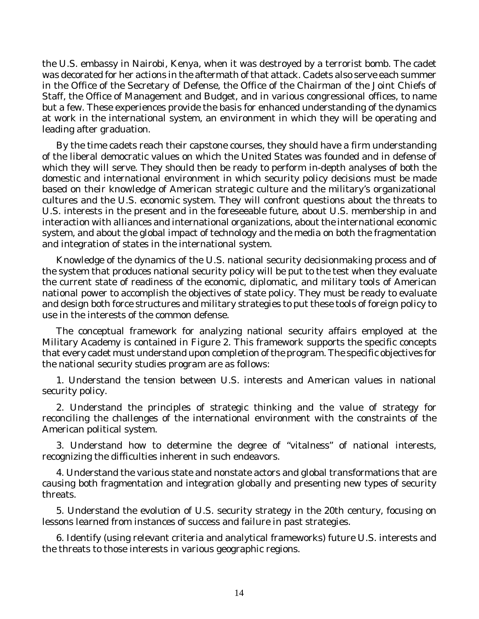the U.S. embassy in Nairobi, Kenya, when it was destroyed by a terrorist bomb. The cadet was decorated for her actions in the aftermath of that attack. Cadets also serve each summer in the Office of the Secretary of Defense, the Office of the Chairman of the Joint Chiefs of Staff, the Office of Management and Budget, and in various congressional offices, to name but a few. These experiences provide the basis for enhanced understanding of the dynamics at work in the international system, an environment in which they will be operating and leading after graduation.

By the time cadets reach their capstone courses, they should have a firm understanding of the liberal democratic values on which the United States was founded and in defense of which they will serve. They should then be ready to perform in-depth analyses of both the domestic and international environment in which security policy decisions must be made based on their knowledge of American strategic culture and the military's organizational cultures and the U.S. economic system. They will confront questions about the threats to U.S. interests in the present and in the foreseeable future, about U.S. membership in and interaction with alliances and international organizations, about the international economic system, and about the global impact of technology and the media on both the fragmentation and integration of states in the international system.

Knowledge of the dynamics of the U.S. national security decisionmaking process and of the system that produces national security policy will be put to the test when they evaluate the current state of readiness of the economic, diplomatic, and military tools of American national power to accomplish the objectives of state policy. They must be ready to evaluate and design both force structures and military strategies to put these tools of foreign policy to use in the interests of the common defense.

The conceptual framework for analyzing national security affairs employed at the Military Academy is contained in Figure 2. This framework supports the specific concepts that every cadet must understand upon completion of the program. The specific objectives for the national security studies program are as follows:

1. Understand the tension between U.S. interests and American values in national security policy.

2. Understand the principles of strategic thinking and the value of strategy for reconciling the challenges of the international environment with the constraints of the American political system.

3. Understand how to determine the degree of "vitalness" of national interests, recognizing the difficulties inherent in such endeavors.

4. Understand the various state and nonstate actors and global transformations that are causing both fragmentation and integration globally and presenting new types of security threats.

5. Understand the evolution of U.S. security strategy in the 20th century, focusing on lessons learned from instances of success and failure in past strategies.

6. Identify (using relevant criteria and analytical frameworks) future U.S. interests and the threats to those interests in various geographic regions.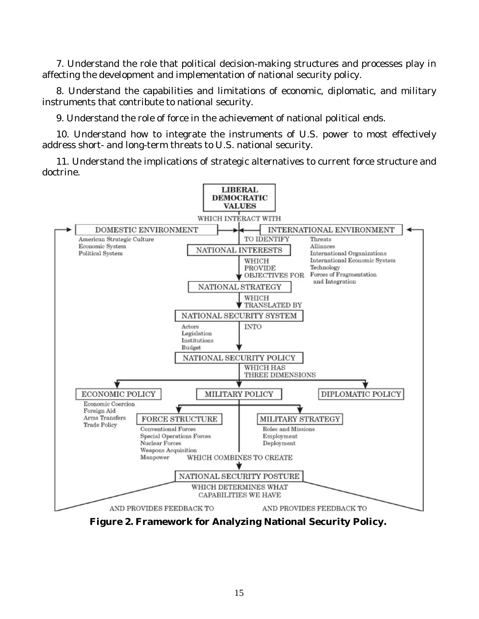7. Understand the role that political decision-making structures and processes play in affecting the development and implementation of national security policy.

8. Understand the capabilities and limitations of economic, diplomatic, and military instruments that contribute to national security.

9. Understand the role of force in the achievement of national political ends.

10. Understand how to integrate the instruments of U.S. power to most effectively address short- and long-term threats to U.S. national security.

11. Understand the implications of strategic alternatives to current force structure and doctrine.



**Figure 2. Framework for Analyzing National Security Policy.**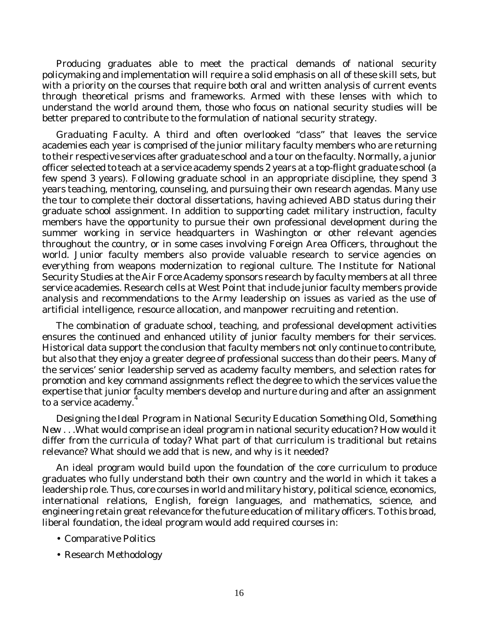Producing graduates able to meet the practical demands of national security policymaking and implementation will require a solid emphasis on all of these skill sets, but with a priority on the courses that require both oral and written analysis of current events through theoretical prisms and frameworks. Armed with these lenses with which to understand the world around them, those who focus on national security studies will be better prepared to contribute to the formulation of national security strategy.

*Graduating Faculty*. A third and often overlooked "class" that leaves the service academies each year is comprised of the junior military faculty members who are returning to their respective services after graduate school and a tour on the faculty. Normally, a junior officer selected to teach at a service academy spends 2 years at a top-flight graduate school (a few spend 3 years). Following graduate school in an appropriate discipline, they spend 3 years teaching, mentoring, counseling, and pursuing their own research agendas. Many use the tour to complete their doctoral dissertations, having achieved ABD status during their graduate school assignment. In addition to supporting cadet military instruction, faculty members have the opportunity to pursue their own professional development during the summer working in service headquarters in Washington or other relevant agencies throughout the country, or in some cases involving Foreign Area Officers, throughout the world. Junior faculty members also provide valuable research to service agencies on everything from weapons modernization to regional culture. The Institute for National Security Studies at the Air Force Academy sponsors research by faculty members at all three service academies. Research cells at West Point that include junior faculty members provide analysis and recommendations to the Army leadership on issues as varied as the use of artificial intelligence, resource allocation, and manpower recruiting and retention.

The combination of graduate school, teaching, and professional development activities ensures the continued and enhanced utility of junior faculty members for their services. Historical data support the conclusion that faculty members not only continue to contribute, but also that they enjoy a greater degree of professional success than do their peers. Many of the services' senior leadership served as academy faculty members, and selection rates for promotion and key command assignments reflect the degree to which the services value the expertise that junior faculty members develop and nurture during and after an assignment to a service academy. 4

*Designing the Ideal Program in National Security Education Something Old, Something New* . . .What would comprise an ideal program in national security education? How would it differ from the curricula of today? What part of that curriculum is traditional but retains relevance? What should we add that is new, and why is it needed?

An ideal program would build upon the foundation of the core curriculum to produce graduates who fully understand both their own country and the world in which it takes a leadership role. Thus, core courses in world and military history, political science, economics, international relations, English, foreign languages, and mathematics, science, and engineering retain great relevance for the future education of military officers. To this broad, liberal foundation, the ideal program would add required courses in:

- Comparative Politics
- Research Methodology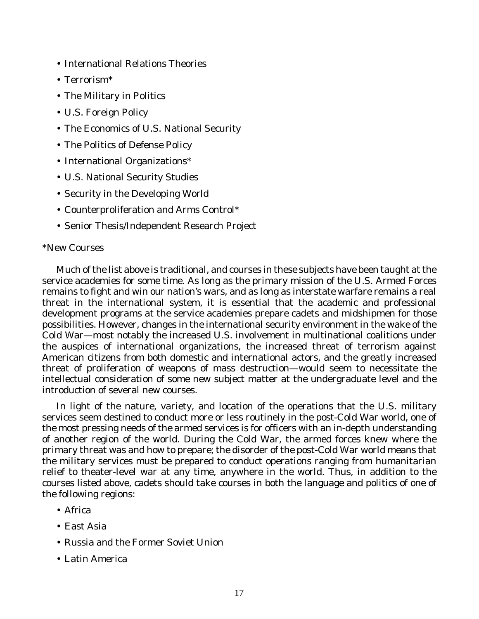- International Relations Theories
- Terrorism\*
- The Military in Politics
- U.S. Foreign Policy
- The Economics of U.S. National Security
- The Politics of Defense Policy
- International Organizations\*
- U.S. National Security Studies
- Security in the Developing World
- Counterproliferation and Arms Control\*
- Senior Thesis/Independent Research Project

### \*New Courses

Much of the list above is traditional, and courses in these subjects have been taught at the service academies for some time. As long as the primary mission of the U.S. Armed Forces remains to fight and win our nation's wars, and as long as interstate warfare remains a real threat in the international system, it is essential that the academic and professional development programs at the service academies prepare cadets and midshipmen for those possibilities. However, changes in the international security environment in the wake of the Cold War—most notably the increased U.S. involvement in multinational coalitions under the auspices of international organizations, the increased threat of terrorism against American citizens from both domestic and international actors, and the greatly increased threat of proliferation of weapons of mass destruction—would seem to necessitate the intellectual consideration of some new subject matter at the undergraduate level and the introduction of several new courses.

In light of the nature, variety, and location of the operations that the U.S. military services seem destined to conduct more or less routinely in the post-Cold War world, one of the most pressing needs of the armed services is for officers with an in-depth understanding of another region of the world. During the Cold War, the armed forces knew where the primary threat was and how to prepare; the disorder of the post-Cold War world means that the military services must be prepared to conduct operations ranging from humanitarian relief to theater-level war at any time, anywhere in the world. Thus, in addition to the courses listed above, cadets should take courses in both the language and politics of one of the following regions:

- Africa
- East Asia
- Russia and the Former Soviet Union
- Latin America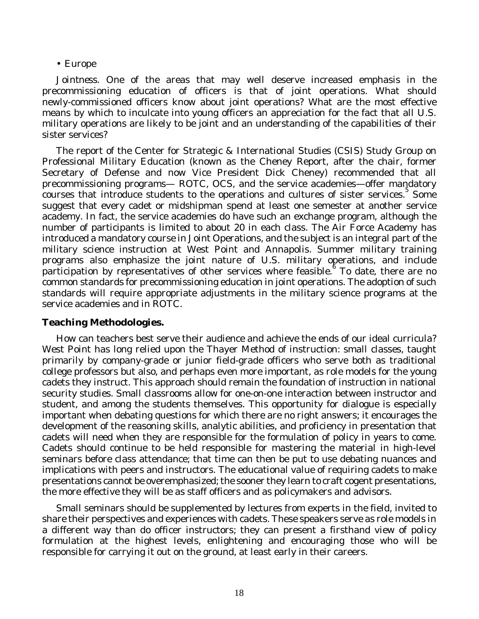#### • Europe

*Jointness*. One of the areas that may well deserve increased emphasis in the precommissioning education of officers is that of joint operations. What should newly-commissioned officers know about joint operations? What are the most effective means by which to inculcate into young officers an appreciation for the fact that all U.S. military operations are likely to be joint and an understanding of the capabilities of their sister services?

The report of the Center for Strategic & International Studies (CSIS) Study Group on Professional Military Education (known as the Cheney Report, after the chair, former Secretary of Defense and now Vice President Dick Cheney) recommended that all precommissioning programs— ROTC, OCS, and the service academies—offer mandatory courses that introduce students to the operations and cultures of sister services.<sup>5</sup> Some suggest that every cadet or midshipman spend at least one semester at another service academy. In fact, the service academies do have such an exchange program, although the number of participants is limited to about 20 in each class. The Air Force Academy has introduced a mandatory course in Joint Operations, and the subject is an integral part of the military science instruction at West Point and Annapolis. Summer military training programs also emphasize the joint nature of U.S. military operations, and include participation by representatives of other services where feasible. To date, there are no common standards for precommissioning education in joint operations. The adoption of such standards will require appropriate adjustments in the military science programs at the service academies and in ROTC.

### **Teaching Methodologies.**

How can teachers best serve their audience and achieve the ends of our ideal curricula? West Point has long relied upon the Thayer Method of instruction: small classes, taught primarily by company-grade or junior field-grade officers who serve both as traditional college professors but also, and perhaps even more important, as role models for the young cadets they instruct. This approach should remain the foundation of instruction in national security studies. Small classrooms allow for one-on-one interaction between instructor and student, and among the students themselves. This opportunity for dialogue is especially important when debating questions for which there are no right answers; it encourages the development of the reasoning skills, analytic abilities, and proficiency in presentation that cadets will need when they are responsible for the formulation of policy in years to come. Cadets should continue to be held responsible for mastering the material in high-level seminars before class attendance; that time can then be put to use debating nuances and implications with peers and instructors. The educational value of requiring cadets to make presentations cannot be overemphasized; the sooner they learn to craft cogent presentations, the more effective they will be as staff officers and as policymakers and advisors.

Small seminars should be supplemented by lectures from experts in the field, invited to share their perspectives and experiences with cadets. These speakers serve as role models in a different way than do officer instructors; they can present a firsthand view of policy formulation at the highest levels, enlightening and encouraging those who will be responsible for carrying it out on the ground, at least early in their careers.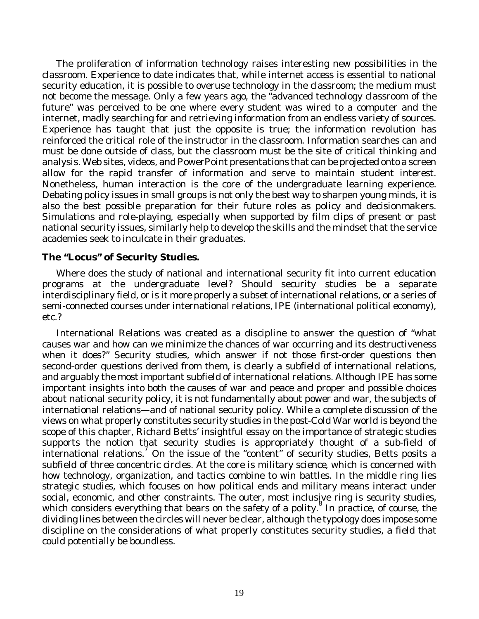The proliferation of information technology raises interesting new possibilities in the classroom. Experience to date indicates that, while internet access is essential to national security education, it is possible to overuse technology in the classroom; the medium must not become the message. Only a few years ago, the "advanced technology classroom of the future" was perceived to be one where every student was wired to a computer and the internet, madly searching for and retrieving information from an endless variety of sources. Experience has taught that just the opposite is true; the information revolution has reinforced the critical role of the instructor in the classroom. Information searches can and must be done outside of class, but the classroom must be the site of critical thinking and analysis. Web sites, videos, and PowerPoint presentations that can be projected onto a screen allow for the rapid transfer of information and serve to maintain student interest. Nonetheless, human interaction is the core of the undergraduate learning experience. Debating policy issues in small groups is not only the best way to sharpen young minds, it is also the best possible preparation for their future roles as policy and decisionmakers. Simulations and role-playing, especially when supported by film clips of present or past national security issues, similarly help to develop the skills and the mindset that the service academies seek to inculcate in their graduates.

#### **The "Locus" of Security Studies.**

Where does the study of national and international security fit into current education programs at the undergraduate level? Should security studies be a separate interdisciplinary field, or is it more properly a subset of international relations, or a series of semi-connected courses under international relations, IPE (international political economy), etc.?

International Relations was created as a discipline to answer the question of "what causes war and how can we minimize the chances of war occurring and its destructiveness when it does?" Security studies, which answer if not those first-order questions then second-order questions derived from them, is clearly a subfield of international relations, and arguably the most important subfield of international relations. Although IPE has some important insights into both the causes of war and peace and proper and possible choices about national security policy, it is not fundamentally about power and war, the subjects of international relations—and of national security policy. While a complete discussion of the views on what properly constitutes security studies in the post-Cold War world is beyond the scope of this chapter, Richard Betts' insightful essay on the importance of strategic studies supports the notion that security studies is appropriately thought of a sub-field of international relations.<sup>7</sup> On the issue of the "content" of security studies, Betts posits a subfield of three concentric circles. At the core is *military science*, which is concerned with how technology, organization, and tactics combine to win battles. In the middle ring lies *strategic studies*, which focuses on how political ends and military means interact under social, economic, and other constraints. The outer, most inclusive ring is *security studies*, which considers everything that bears on the safety of a polity. 8 In practice, of course, the dividing lines between the circles will never be clear, although the typology does impose some discipline on the considerations of what properly constitutes security studies, a field that could potentially be boundless.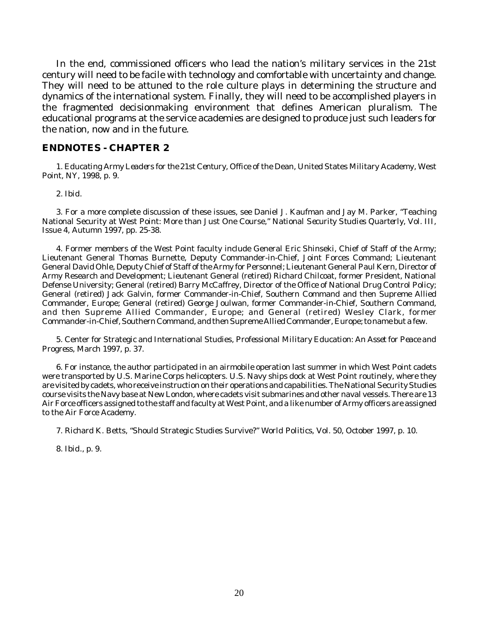In the end, commissioned officers who lead the nation's military services in the 21st century will need to be facile with technology and comfortable with uncertainty and change. They will need to be attuned to the role culture plays in determining the structure and dynamics of the international system. Finally, they will need to be accomplished players in the fragmented decisionmaking environment that defines American pluralism. The educational programs at the service academies are designed to produce just such leaders for the nation, now and in the future.

#### **ENDNOTES - CHAPTER 2**

1. *Educating Army Leaders for the 21st Century*, Office of the Dean, United States Military Academy, West Point, NY, 1998, p. 9.

2. *Ibid.*

3. For a more complete discussion of these issues, see Daniel J. Kaufman and Jay M. Parker, "Teaching National Security at West Point: More than Just One Course," *National Security Studies Quarterly,* Vol. III, Issue 4, Autumn 1997, pp. 25-38.

4. Former members of the West Point faculty include General Eric Shinseki, Chief of Staff of the Army; Lieutenant General Thomas Burnette, Deputy Commander-in-Chief, Joint Forces Command; Lieutenant General David Ohle, Deputy Chief of Staff of the Army for Personnel; Lieutenant General Paul Kern, Director of Army Research and Development; Lieutenant General (retired) Richard Chilcoat, former President, National Defense University; General (retired) Barry McCaffrey, Director of the Office of National Drug Control Policy; General (retired) Jack Galvin, former Commander-in-Chief, Southern Command and then Supreme Allied Commander, Europe; General (retired) George Joulwan, former Commander-in-Chief, Southern Command, and then Supreme Allied Commander, Europe; and General (retired) Wesley Clark, former Commander-in-Chief, Southern Command, and then Supreme Allied Commander, Europe; to name but a few.

5. Center for Strategic and International Studies, *Professional Military Education: An Asset for Peace and Progress*, March 1997, p. 37.

6. For instance, the author participated in an airmobile operation last summer in which West Point cadets were transported by U.S. Marine Corps helicopters. U.S. Navy ships dock at West Point routinely, where they are visited by cadets, who receive instruction on their operations and capabilities. The National Security Studies course visits the Navy base at New London, where cadets visit submarines and other naval vessels. There are 13 Air Force officers assigned to the staff and faculty at West Point, and a like number of Army officers are assigned to the Air Force Academy.

7. Richard K. Betts, "Should Strategic Studies Survive?" *World Politics,* Vol. 50, October 1997, p. 10.

8. *Ibid*., p. 9.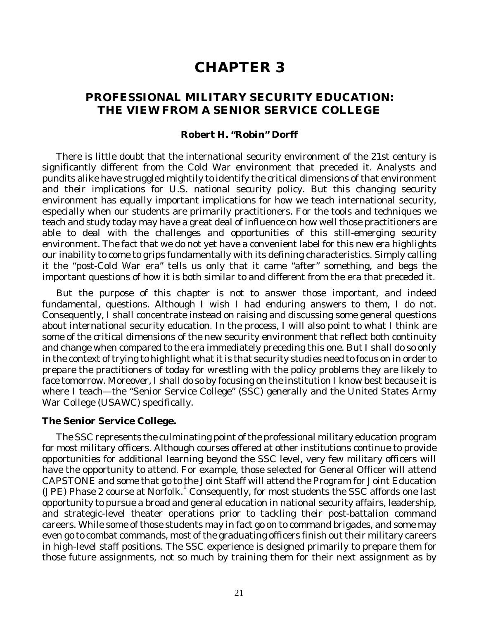# **CHAPTER 3**

### **PROFESSIONAL MILITARY SECURITY EDUCATION: THE VIEW FROM A SENIOR SERVICE COLLEGE**

#### **Robert H. "Robin" Dorff**

There is little doubt that the international security environment of the 21st century is significantly different from the Cold War environment that preceded it. Analysts and pundits alike have struggled mightily to identify the critical dimensions of that environment and their implications for U.S. national security policy. But this changing security environment has equally important implications for how we teach international security, especially when our students are primarily practitioners. For the tools and techniques we teach and study today may have a great deal of influence on how well those practitioners are able to deal with the challenges and opportunities of this still-emerging security environment. The fact that we do not yet have a convenient label for this new era highlights our inability to come to grips fundamentally with its defining characteristics. Simply calling it the "post-Cold War era" tells us only that it came "after" something, and begs the important questions of how it is both similar to and different from the era that preceded it.

But the purpose of this chapter is not to answer those important, and indeed fundamental, questions. Although I wish I had enduring answers to them, I do not. Consequently, I shall concentrate instead on raising and discussing some general questions about international security education. In the process, I will also point to what I think are some of the critical dimensions of the new security environment that reflect both continuity and change when compared to the era immediately preceding this one. But I shall do so only in the context of trying to highlight what it is that security studies need to focus on in order to prepare the practitioners of today for wrestling with the policy problems they are likely to face tomorrow. Moreover, I shall do so by focusing on the institution I know best because it is where I teach—the "Senior Service College" (SSC) generally and the United States Army War College (USAWC) specifically.

#### **The Senior Service College.**

The SSC represents the culminating point of the professional military education program for most military officers. Although courses offered at other institutions continue to provide opportunities for additional learning beyond the SSC level, very few military officers will have the opportunity to attend. For example, those selected for General Officer will attend CAPSTONE and some that go to the Joint Staff will attend the Program for Joint Education (JPE) Phase 2 course at Norfolk. 1 Consequently, for most students the SSC affords one last opportunity to pursue a broad and general education in national security affairs, leadership, and strategic-level theater operations prior to tackling their post-battalion command careers. While some of those students may in fact go on to command brigades, and some may even go to combat commands, most of the graduating officers finish out their military careers in high-level staff positions. The SSC experience is designed primarily to prepare them for those future assignments, not so much by training them for their next assignment as by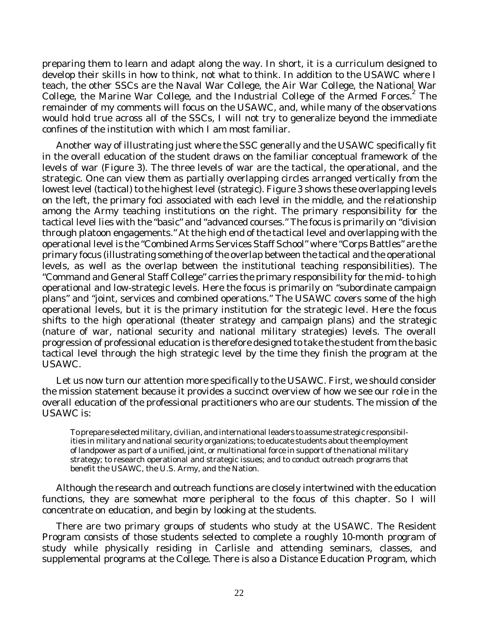preparing them to learn and adapt along the way. In short, it is a curriculum designed to develop their skills in how to think, not what to think. In addition to the USAWC where I teach, the other SSCs are the Naval War College, the Air War College, the National War College, the Marine War College, and the Industrial College of the Armed Forces.<sup>2</sup> The remainder of my comments will focus on the USAWC, and, while many of the observations would hold true across all of the SSCs, I will not try to generalize beyond the immediate confines of the institution with which I am most familiar.

Another way of illustrating just where the SSC generally and the USAWC specifically fit in the overall education of the student draws on the familiar conceptual framework of the levels of war (Figure 3). The three levels of war are the tactical, the operational, and the strategic. One can view them as partially overlapping circles arranged vertically from the lowest level (tactical) to the highest level (strategic). Figure 3 shows these overlapping levels on the left, the primary foci associated with each level in the middle, and the relationship among the Army teaching institutions on the right. The primary responsibility for the tactical level lies with the "basic" and "advanced courses." The focus is primarily on "division through platoon engagements." At the high end of the tactical level and overlapping with the operational level is the "Combined Arms Services Staff School" where "Corps Battles" are the primary focus (illustrating something of the overlap between the tactical and the operational levels, as well as the overlap between the institutional teaching responsibilities). The "Command and General Staff College" carries the primary responsibility for the mid- to high operational and low-strategic levels. Here the focus is primarily on "subordinate campaign plans" and "joint, services and combined operations." The USAWC covers some of the high operational levels, but it is the primary institution for the strategic level. Here the focus shifts to the high operational (theater strategy and campaign plans) and the strategic (nature of war, national security and national military strategies) levels. The overall progression of professional education is therefore designed to take the student from the basic tactical level through the high strategic level by the time they finish the program at the USAWC.

Let us now turn our attention more specifically to the USAWC. First, we should consider the mission statement because it provides a succinct overview of how we see our role in the overall education of the professional practitioners who are our students. The mission of the USAWC is:

To prepare selected military, civilian, and international leaders to assume strategic responsibilities in military and national security organizations; to educate students about the employment of landpower as part of a unified, joint, or multinational force in support of the national military strategy; to research operational and strategic issues; and to conduct outreach programs that benefit the USAWC, the U.S. Army, and the Nation.

Although the research and outreach functions are closely intertwined with the education functions, they are somewhat more peripheral to the focus of this chapter. So I will concentrate on education, and begin by looking at the students.

There are two primary groups of students who study at the USAWC. The Resident Program consists of those students selected to complete a roughly 10-month program of study while physically residing in Carlisle and attending seminars, classes, and supplemental programs at the College. There is also a Distance Education Program, which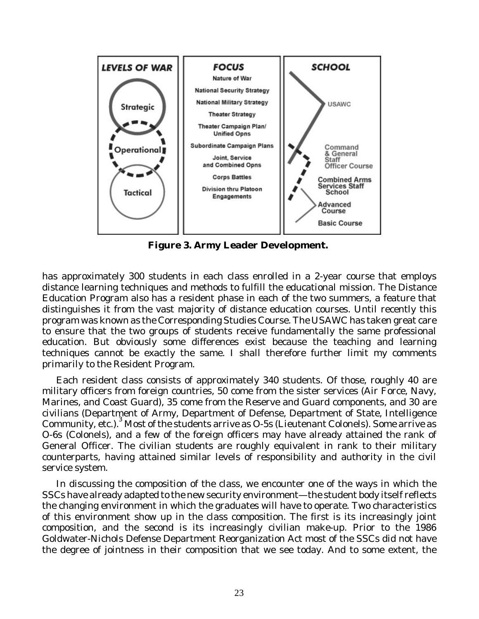

**Figure 3. Army Leader Development.**

has approximately 300 students in each class enrolled in a 2-year course that employs distance learning techniques and methods to fulfill the educational mission. The Distance Education Program also has a resident phase in each of the two summers, a feature that distinguishes it from the vast majority of distance education courses. Until recently this program was known as the Corresponding Studies Course. The USAWC has taken great care to ensure that the two groups of students receive fundamentally the same professional education. But obviously some differences exist because the teaching and learning techniques cannot be exactly the same. I shall therefore further limit my comments primarily to the Resident Program.

Each resident class consists of approximately 340 students. Of those, roughly 40 are military officers from foreign countries, 50 come from the sister services (Air Force, Navy, Marines, and Coast Guard), 35 come from the Reserve and Guard components, and 30 are civilians (Department of Army, Department of Defense, Department of State, Intelligence Community, etc.). 3 Most of the students arrive as O-5s (Lieutenant Colonels). Some arrive as O-6s (Colonels), and a few of the foreign officers may have already attained the rank of General Officer. The civilian students are roughly equivalent in rank to their military counterparts, having attained similar levels of responsibility and authority in the civil service system.

In discussing the composition of the class, we encounter one of the ways in which the SSCs have already adapted to the new security environment—the student body itself reflects the changing environment in which the graduates will have to operate. Two characteristics of this environment show up in the class composition. The first is its increasingly joint composition, and the second is its increasingly civilian make-up. Prior to the 1986 Goldwater-Nichols Defense Department Reorganization Act most of the SSCs did not have the degree of jointness in their composition that we see today. And to some extent, the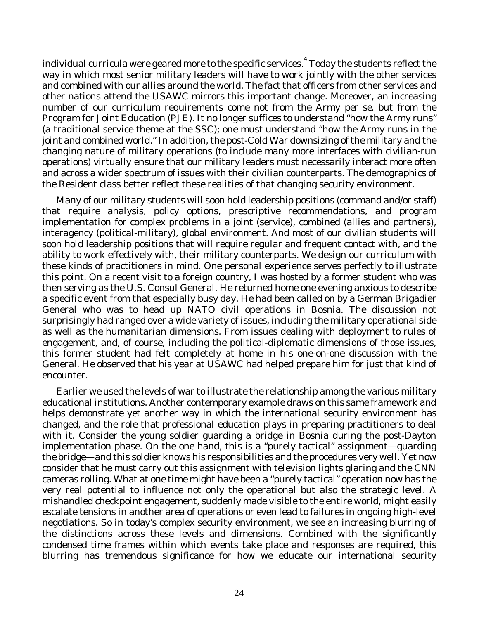individual curricula were geared more to the specific services. 4 Today the students reflect the way in which most senior military leaders will have to work jointly with the other services and combined with our allies around the world. The fact that officers from other services and other nations attend the USAWC mirrors this important change. Moreover, an increasing number of our curriculum requirements come not from the Army *per se*, but from the Program for Joint Education (PJE). It no longer suffices to understand "how the Army runs" (a traditional service theme at the SSC); one must understand "how the Army runs in the joint and combined world." In addition, the post-Cold War downsizing of the military and the changing nature of military operations (to include many more interfaces with civilian-run operations) virtually ensure that our military leaders must necessarily interact more often and across a wider spectrum of issues with their civilian counterparts. The demographics of the Resident class better reflect these realities of that changing security environment.

Many of our military students will soon hold leadership positions (command and/or staff) that require analysis, policy options, prescriptive recommendations, and program implementation for complex problems in a joint (service), combined (allies and partners), interagency (political-military), global environment. And most of our civilian students will soon hold leadership positions that will require regular and frequent contact with, and the ability to work effectively with, their military counterparts. We design our curriculum with these kinds of practitioners in mind. One personal experience serves perfectly to illustrate this point. On a recent visit to a foreign country, I was hosted by a former student who was then serving as the U.S. Consul General. He returned home one evening anxious to describe a specific event from that especially busy day. He had been called on by a German Brigadier General who was to head up NATO civil operations in Bosnia. The discussion not surprisingly had ranged over a wide variety of issues, including the military operational side as well as the humanitarian dimensions. From issues dealing with deployment to rules of engagement, and, of course, including the political-diplomatic dimensions of those issues, this former student had felt completely at home in his one-on-one discussion with the General. He observed that his year at USAWC had helped prepare him for just that kind of encounter.

Earlier we used the levels of war to illustrate the relationship among the various military educational institutions. Another contemporary example draws on this same framework and helps demonstrate yet another way in which the international security environment has changed, and the role that professional education plays in preparing practitioners to deal with it. Consider the young soldier quarding a bridge in Bosnia during the post-Dayton implementation phase. On the one hand, this is a "purely tactical" assignment—guarding the bridge—and this soldier knows his responsibilities and the procedures very well. Yet now consider that he must carry out this assignment with television lights glaring and the CNN cameras rolling. What at one time might have been a "purely tactical" operation now has the very real potential to influence not only the operational but also the strategic level. A mishandled checkpoint engagement, suddenly made visible to the entire world, might easily escalate tensions in another area of operations or even lead to failures in ongoing high-level negotiations. So in today's complex security environment, we see an increasing blurring of the distinctions across these levels and dimensions. Combined with the significantly condensed time frames within which events take place and responses are required, this blurring has tremendous significance for how we educate our international security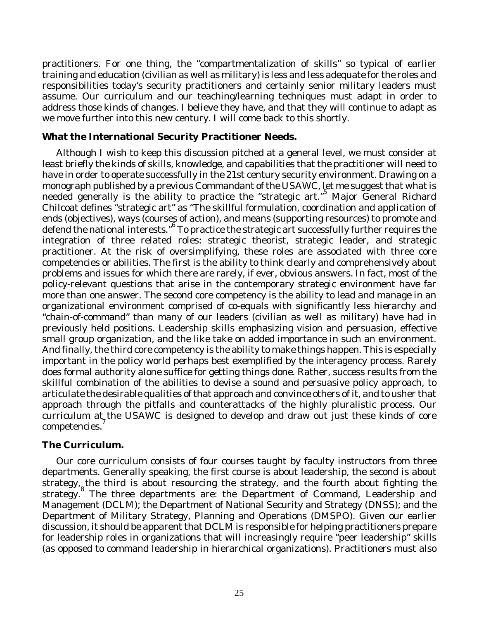practitioners. For one thing, the "compartmentalization of skills" so typical of earlier training and education (civilian as well as military) is less and less adequate for the roles and responsibilities today's security practitioners and certainly senior military leaders must assume. Our curriculum and our teaching/learning techniques must adapt in order to address those kinds of changes. I believe they have, and that they will continue to adapt as we move further into this new century. I will come back to this shortly.

### **What the International Security Practitioner Needs.**

Although I wish to keep this discussion pitched at a general level, we must consider at least briefly the kinds of skills, knowledge, and capabilities that the practitioner will need to have in order to operate successfully in the 21st century security environment. Drawing on a monograph published by a previous Commandant of the USAWC, let me suggest that what is needed generally is the ability to practice the "strategic art."<sup>5</sup> Major General Richard Chilcoat defines "strategic art" as "The skillful formulation, coordination and application of ends (objectives), ways (courses of action), and means (supporting resources) to promote and defend the national interests." 6 To practice the strategic art successfully further requires the integration of three related roles: strategic theorist, strategic leader, and strategic practitioner. At the risk of oversimplifying, these roles are associated with three core competencies or abilities. The first is the ability to think clearly and comprehensively about problems and issues for which there are rarely, if ever, obvious answers. In fact, most of the policy-relevant questions that arise in the contemporary strategic environment have far more than one answer. The second core competency is the ability to lead and manage in an organizational environment comprised of co-equals with significantly less hierarchy and "chain-of-command" than many of our leaders (civilian as well as military) have had in previously held positions. Leadership skills emphasizing vision and persuasion, effective small group organization, and the like take on added importance in such an environment. And finally, the third core competency is the ability to make things happen. This is especially important in the policy world perhaps best exemplified by the interagency process. Rarely does formal authority alone suffice for getting things done. Rather, success results from the skillful combination of the abilities to devise a sound and persuasive policy approach, to articulate the desirable qualities of that approach and convince others of it, and to usher that approach through the pitfalls and counterattacks of the highly pluralistic process. Our curriculum at the USAWC is designed to develop and draw out just these kinds of core competencies.<sup>7</sup>

### **The Curriculum.**

Our core curriculum consists of four courses taught by faculty instructors from three departments. Generally speaking, the first course is about leadership, the second is about strategy, the third is about resourcing the strategy, and the fourth about fighting the strategy. 8 The three departments are: the Department of Command, Leadership and Management (DCLM); the Department of National Security and Strategy (DNSS); and the Department of Military Strategy, Planning and Operations (DMSPO). Given our earlier discussion, it should be apparent that DCLM is responsible for helping practitioners prepare for leadership roles in organizations that will increasingly require "peer leadership" skills (as opposed to command leadership in hierarchical organizations). Practitioners must also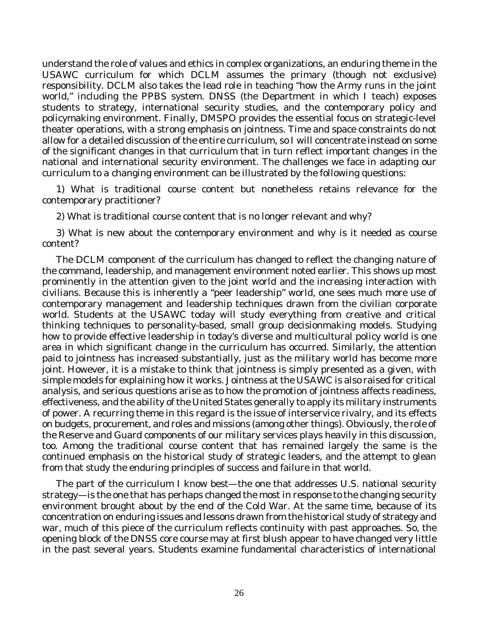understand the role of values and ethics in complex organizations, an enduring theme in the USAWC curriculum for which DCLM assumes the primary (though not exclusive) responsibility. DCLM also takes the lead role in teaching "how the Army runs in the joint world," including the PPBS system. DNSS (the Department in which I teach) exposes students to strategy, international security studies, and the contemporary policy and policymaking environment. Finally, DMSPO provides the essential focus on strategic-level theater operations, with a strong emphasis on jointness. Time and space constraints do not allow for a detailed discussion of the entire curriculum, so I will concentrate instead on some of the significant changes in that curriculum that in turn reflect important changes in the national and international security environment. The challenges we face in adapting our curriculum to a changing environment can be illustrated by the following questions:

1) What is traditional course content but nonetheless retains relevance for the contemporary practitioner?

2) What is traditional course content that is no longer relevant and why?

3) What is new about the contemporary environment and why is it needed as course content?

The DCLM component of the curriculum has changed to reflect the changing nature of the command, leadership, and management environment noted earlier. This shows up most prominently in the attention given to the joint world and the increasing interaction with civilians. Because this is inherently a "peer leadership" world, one sees much more use of contemporary management and leadership techniques drawn from the civilian corporate world. Students at the USAWC today will study everything from creative and critical thinking techniques to personality-based, small group decisionmaking models. Studying how to provide effective leadership in today's diverse and multicultural policy world is one area in which significant change in the curriculum has occurred. Similarly, the attention paid to jointness has increased substantially, just as the military world has become more joint. However, it is a mistake to think that jointness is simply presented as a given, with simple models for explaining how it works. Jointness at the USAWC is also raised for critical analysis, and serious questions arise as to how the promotion of jointness affects readiness, effectiveness, and the ability of the United States generally to apply its military instruments of power. A recurring theme in this regard is the issue of interservice rivalry, and its effects on budgets, procurement, and roles and missions (among other things). Obviously, the role of the Reserve and Guard components of our military services plays heavily in this discussion, too. Among the traditional course content that has remained largely the same is the continued emphasis on the historical study of strategic leaders, and the attempt to glean from that study the enduring principles of success and failure in that world.

The part of the curriculum I know best—the one that addresses U.S. national security strategy—is the one that has perhaps changed the most in response to the changing security environment brought about by the end of the Cold War. At the same time, because of its concentration on enduring issues and lessons drawn from the historical study of strategy and war, much of this piece of the curriculum reflects continuity with past approaches. So, the opening block of the DNSS core course may at first blush appear to have changed very little in the past several years. Students examine fundamental characteristics of international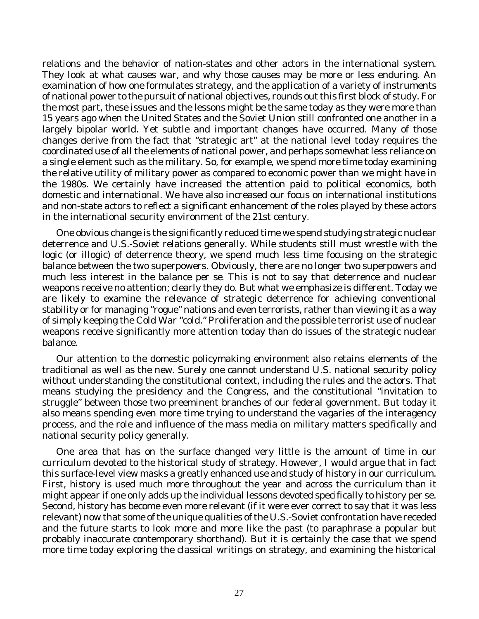relations and the behavior of nation-states and other actors in the international system. They look at what causes war, and why those causes may be more or less enduring. An examination of how one formulates strategy, and the application of a variety of instruments of national power to the pursuit of national objectives, rounds out this first block of study. For the most part, these issues and the lessons might be the same today as they were more than 15 years ago when the United States and the Soviet Union still confronted one another in a largely bipolar world. Yet subtle and important changes have occurred. Many of those changes derive from the fact that "strategic art" at the national level today requires the coordinated use of all the elements of national power, and perhaps somewhat less reliance on a single element such as the military. So, for example, we spend more time today examining the relative utility of military power as compared to economic power than we might have in the 1980s. We certainly have increased the attention paid to political economics, both domestic and international. We have also increased our focus on international institutions and non-state actors to reflect a significant enhancement of the roles played by these actors in the international security environment of the 21st century.

One obvious change is the significantly reduced time we spend studying strategic nuclear deterrence and U.S.-Soviet relations generally. While students still must wrestle with the logic (or illogic) of deterrence theory, we spend much less time focusing on the strategic balance between the two superpowers. Obviously, there are no longer two superpowers and much less interest in the balance *per se*. This is not to say that deterrence and nuclear weapons receive no attention; clearly they do. But what we emphasize is different. Today we are likely to examine the relevance of strategic deterrence for achieving conventional stability or for managing "rogue" nations and even terrorists, rather than viewing it as a way of simply keeping the Cold War "cold." Proliferation and the possible terrorist use of nuclear weapons receive significantly more attention today than do issues of the strategic nuclear balance.

Our attention to the domestic policymaking environment also retains elements of the traditional as well as the new. Surely one cannot understand U.S. national security policy without understanding the constitutional context, including the rules and the actors. That means studying the presidency and the Congress, and the constitutional "invitation to struggle" between those two preeminent branches of our federal government. But today it also means spending even more time trying to understand the vagaries of the interagency process, and the role and influence of the mass media on military matters specifically and national security policy generally.

One area that has on the surface changed very little is the amount of time in our curriculum devoted to the historical study of strategy. However, I would argue that in fact this surface-level view masks a greatly enhanced use and study of history in our curriculum. First, history is used much more throughout the year and across the curriculum than it might appear if one only adds up the individual lessons devoted specifically to history per se. Second, history has become even more relevant (if it were ever correct to say that it was less relevant) now that some of the unique qualities of the U.S.-Soviet confrontation have receded and the future starts to look more and more like the past (to paraphrase a popular but probably inaccurate contemporary shorthand). But it is certainly the case that we spend more time today exploring the classical writings on strategy, and examining the historical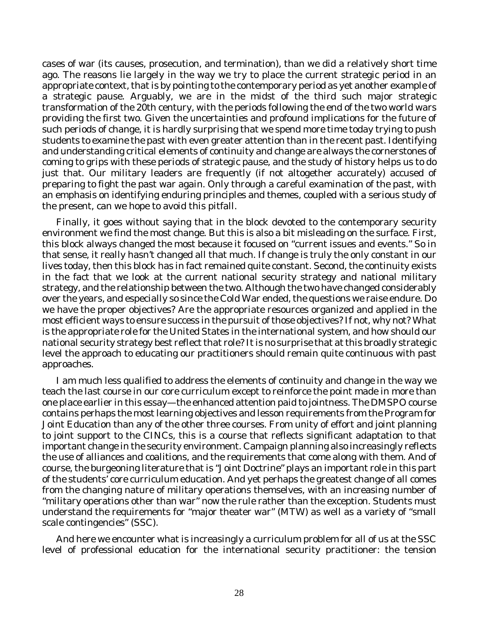cases of war (its causes, prosecution, and termination), than we did a relatively short time ago. The reasons lie largely in the way we try to place the current strategic period in an appropriate context, that is by pointing to the contemporary period as yet another example of a strategic pause. Arguably, we are in the midst of the third such major strategic transformation of the 20th century, with the periods following the end of the two world wars providing the first two. Given the uncertainties and profound implications for the future of such periods of change, it is hardly surprising that we spend more time today trying to push students to examine the past with even greater attention than in the recent past. Identifying and understanding critical elements of continuity and change are always the cornerstones of coming to grips with these periods of strategic pause, and the study of history helps us to do just that. Our military leaders are frequently (if not altogether accurately) accused of preparing to fight the past war again. Only through a careful examination of the past, with an emphasis on identifying enduring principles and themes, coupled with a serious study of the present, can we hope to avoid this pitfall.

Finally, it goes without saying that in the block devoted to the contemporary security environment we find the most change. But this is also a bit misleading on the surface. First, this block always changed the most because it focused on "current issues and events." So in that sense, it really hasn't changed all that much. If change is truly the only constant in our lives today, then this block has in fact remained quite constant. Second, the continuity exists in the fact that we look at the current national security strategy and national military strategy, and the relationship between the two. Although the two have changed considerably over the years, and especially so since the Cold War ended, the questions we raise endure. Do we have the proper objectives? Are the appropriate resources organized and applied in the most efficient ways to ensure success in the pursuit of those objectives? If not, why not? What is the appropriate role for the United States in the international system, and how should our national security strategy best reflect that role? It is no surprise that at this broadly strategic level the approach to educating our practitioners should remain quite continuous with past approaches.

I am much less qualified to address the elements of continuity and change in the way we teach the last course in our core curriculum except to reinforce the point made in more than one place earlier in this essay—the enhanced attention paid to jointness. The DMSPO course contains perhaps the most learning objectives and lesson requirements from the Program for Joint Education than any of the other three courses. From unity of effort and joint planning to joint support to the CINCs, this is a course that reflects significant adaptation to that important change in the security environment. Campaign planning also increasingly reflects the use of alliances and coalitions, and the requirements that come along with them. And of course, the burgeoning literature that is "Joint Doctrine" plays an important role in this part of the students' core curriculum education. And yet perhaps the greatest change of all comes from the changing nature of military operations themselves, with an increasing number of "military operations other than war" now the rule rather than the exception. Students must understand the requirements for "major theater war" (MTW) as well as a variety of "small scale contingencies" (SSC).

And here we encounter what is increasingly a curriculum problem for all of us at the SSC level of professional education for the international security practitioner: the tension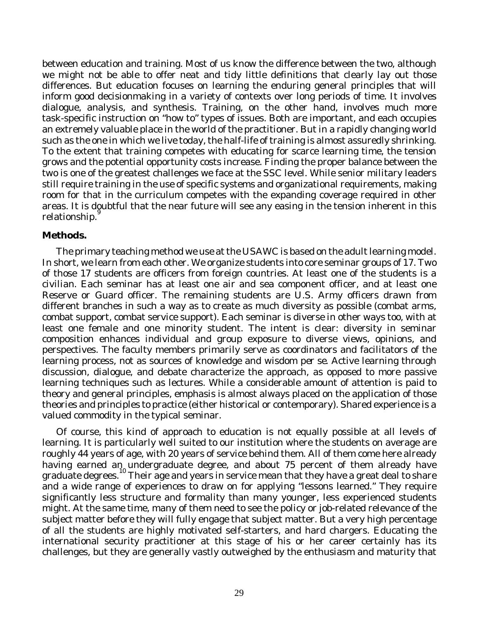between education and training. Most of us know the difference between the two, although we might not be able to offer neat and tidy little definitions that clearly lay out those differences. But education focuses on learning the enduring general principles that will inform good decisionmaking in a variety of contexts over long periods of time. It involves dialogue, analysis, and synthesis. Training, on the other hand, involves much more task-specific instruction on "how to" types of issues. Both are important, and each occupies an extremely valuable place in the world of the practitioner. But in a rapidly changing world such as the one in which we live today, the half-life of training is almost assuredly shrinking. To the extent that training competes with educating for scarce learning time, the tension grows and the potential opportunity costs increase. Finding the proper balance between the two is one of the greatest challenges we face at the SSC level. While senior military leaders still require training in the use of specific systems and organizational requirements, making room for that in the curriculum competes with the expanding coverage required in other areas. It is doubtful that the near future will see any easing in the tension inherent in this relationship.<sup>9</sup>

#### **Methods.**

The primary teaching method we use at the USAWC is based on the adult learning model. In short, we learn from each other. We organize students into core seminar groups of 17. Two of those 17 students are officers from foreign countries. At least one of the students is a civilian. Each seminar has at least one air and sea component officer, and at least one Reserve or Guard officer. The remaining students are U.S. Army officers drawn from different branches in such a way as to create as much diversity as possible (combat arms, combat support, combat service support). Each seminar is diverse in other ways too, with at least one female and one minority student. The intent is clear: diversity in seminar composition enhances individual and group exposure to diverse views, opinions, and perspectives. The faculty members primarily serve as coordinators and facilitators of the learning process, not as sources of knowledge and wisdom *per se*. Active learning through discussion, dialogue, and debate characterize the approach, as opposed to more passive learning techniques such as lectures. While a considerable amount of attention is paid to theory and general principles, emphasis is almost always placed on the application of those theories and principles to practice (either historical or contemporary). Shared experience is a valued commodity in the typical seminar.

Of course, this kind of approach to education is not equally possible at all levels of learning. It is particularly well suited to our institution where the students on average are roughly 44 years of age, with 20 years of service behind them. All of them come here already having earned an undergraduate degree, and about 75 percent of them already have graduate degrees. 10 Their age and years in service mean that they have a great deal to share and a wide range of experiences to draw on for applying "lessons learned." They require significantly less structure and formality than many younger, less experienced students might. At the same time, many of them need to see the policy or job-related relevance of the subject matter before they will fully engage that subject matter. But a very high percentage of all the students are highly motivated self-starters, and hard chargers. Educating the international security practitioner at this stage of his or her career certainly has its challenges, but they are generally vastly outweighed by the enthusiasm and maturity that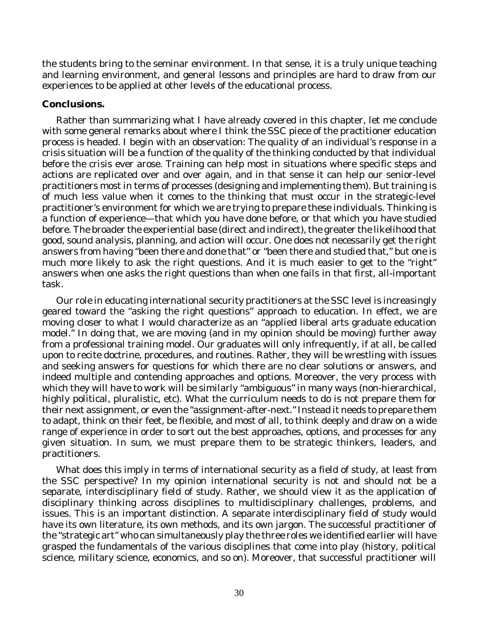the students bring to the seminar environment. In that sense, it is a truly unique teaching and learning environment, and general lessons and principles are hard to draw from our experiences to be applied at other levels of the educational process.

#### **Conclusions.**

Rather than summarizing what I have already covered in this chapter, let me conclude with some general remarks about where I think the SSC piece of the practitioner education process is headed. I begin with an observation: The quality of an individual's response in a crisis situation will be a function of the quality of the thinking conducted by that individual before the crisis ever arose. Training can help most in situations where specific steps and actions are replicated over and over again, and in that sense it can help our senior-level practitioners most in terms of processes (designing and implementing them). But training is of much less value when it comes to the thinking that must occur in the strategic-level practitioner's environment for which we are trying to prepare these individuals. Thinking is a function of experience—that which you have done before, or that which you have studied before. The broader the experiential base (direct and indirect), the greater the likelihood that good, sound analysis, planning, and action will occur. One does not necessarily get the right answers from having "been there and done that" or "been there and studied that," but one is much more likely to ask the right questions. And it is much easier to get to the "right" answers when one asks the right questions than when one fails in that first, all-important task.

Our role in educating international security practitioners at the SSC level is increasingly geared toward the "asking the right questions" approach to education. In effect, we are moving closer to what I would characterize as an "applied liberal arts graduate education model." In doing that, we are moving (and in my opinion should be moving) further away from a professional training model. Our graduates will only infrequently, if at all, be called upon to recite doctrine, procedures, and routines. Rather, they will be wrestling with issues and seeking answers for questions for which there are no clear solutions or answers, and indeed multiple and contending approaches and options. Moreover, the very process with which they will have to work will be similarly "ambiguous" in many ways (non-hierarchical, highly political, pluralistic, etc). What the curriculum needs to do is not prepare them for their next assignment, or even the "assignment-after-next." Instead it needs to prepare them to adapt, think on their feet, be flexible, and most of all, to think deeply and draw on a wide range of experience in order to sort out the best approaches, options, and processes for any given situation. In sum, we must prepare them to be strategic thinkers, leaders, and practitioners.

What does this imply in terms of international security as a field of study, at least from the SSC perspective? In my opinion international security is not and should not be a separate, interdisciplinary field of study. Rather, we should view it as the application of disciplinary thinking across disciplines to multidisciplinary challenges, problems, and issues. This is an important distinction. A separate interdisciplinary field of study would have its own literature, its own methods, and its own jargon. The successful practitioner of the "strategic art" who can simultaneously play the three roles we identified earlier will have grasped the fundamentals of the various disciplines that come into play (history, political science, military science, economics, and so on). Moreover, that successful practitioner will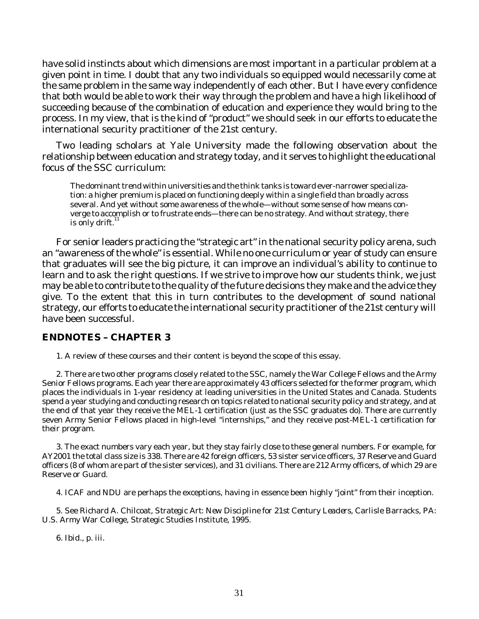have solid instincts about which dimensions are most important in a particular problem at a given point in time. I doubt that any two individuals so equipped would necessarily come at the same problem in the same way independently of each other. But I have every confidence that both would be able to work their way through the problem and have a high likelihood of succeeding because of the combination of education and experience they would bring to the process. In my view, that is the kind of "product" we should seek in our efforts to educate the international security practitioner of the 21st century.

Two leading scholars at Yale University made the following observation about the relationship between education and strategy today, and it serves to highlight the educational focus of the SSC curriculum:

The dominant trend within universities and the think tanks is toward ever-narrower specialization: a higher premium is placed on functioning deeply within a single field than broadly across several. And yet without some awareness of the whole—without some sense of how means converge to accomplish or to frustrate ends—there can be no strategy. And without strategy, there is only drift.<sup>11</sup>

For senior leaders practicing the "strategic art" in the national security policy arena, such an "awareness of the whole" is essential. While no one curriculum or year of study can ensure that graduates will see the big picture, it can improve an individual's ability to continue to learn and to ask the right questions. If we strive to improve how our students think, we just may be able to contribute to the quality of the future decisions they make and the advice they give. To the extent that this in turn contributes to the development of sound national strategy, our efforts to educate the international security practitioner of the 21st century will have been successful.

#### **ENDNOTES – CHAPTER 3**

1. A review of these courses and their content is beyond the scope of this essay.

2. There are two other programs closely related to the SSC, namely the War College Fellows and the Army Senior Fellows programs. Each year there are approximately 43 officers selected for the former program, which places the individuals in 1-year residency at leading universities in the United States and Canada. Students spend a year studying and conducting research on topics related to national security policy and strategy, and at the end of that year they receive the MEL-1 certification (just as the SSC graduates do). There are currently seven Army Senior Fellows placed in high-level "internships," and they receive post-MEL-1 certification for their program.

3. The exact numbers vary each year, but they stay fairly close to these general numbers. For example, for AY2001 the total class size is 338. There are 42 foreign officers, 53 sister service officers, 37 Reserve and Guard officers (8 of whom are part of the sister services), and 31 civilians. There are 212 Army officers, of which 29 are Reserve or Guard.

4. ICAF and NDU are perhaps the exceptions, having in essence been highly "joint" from their inception.

5. See Richard A. Chilcoat, *Strategic Art: New Discipline for 21st Century Leaders*, Carlisle Barracks, PA: U.S. Army War College, Strategic Studies Institute, 1995.

6. *Ibid.*, p. iii.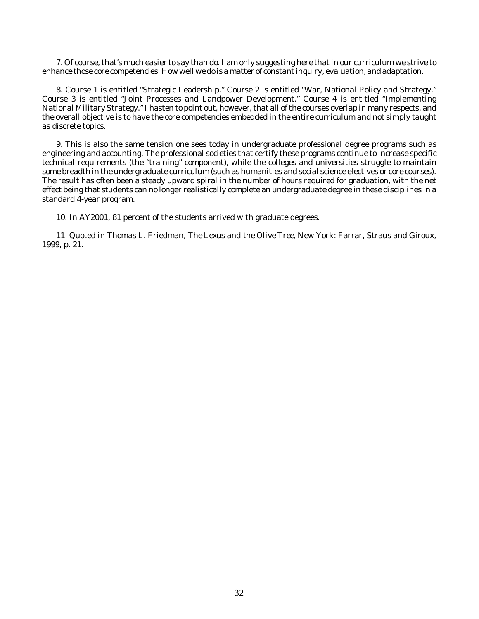7. Of course, that's much easier to say than do. I am only suggesting here that in our curriculum we strive to enhance those core competencies. How well we do is a matter of constant inquiry, evaluation, and adaptation.

8. Course 1 is entitled "Strategic Leadership." Course 2 is entitled "War, National Policy and Strategy." Course 3 is entitled "Joint Processes and Landpower Development." Course 4 is entitled "Implementing National Military Strategy." I hasten to point out, however, that all of the courses overlap in many respects, and the overall objective is to have the core competencies embedded in the entire curriculum and not simply taught as discrete topics.

9. This is also the same tension one sees today in undergraduate professional degree programs such as engineering and accounting. The professional societies that certify these programs continue to increase specific technical requirements (the "training" component), while the colleges and universities struggle to maintain some breadth in the undergraduate curriculum (such as humanities and social science electives or core courses). The result has often been a steady upward spiral in the number of hours required for graduation, with the net effect being that students can no longer realistically complete an undergraduate degree in these disciplines in a standard 4-year program.

10. In AY2001, 81 percent of the students arrived with graduate degrees.

11. Quoted in Thomas L. Friedman, *The Lexus and the Olive Tree*, New York: Farrar, Straus and Giroux, 1999, p. 21.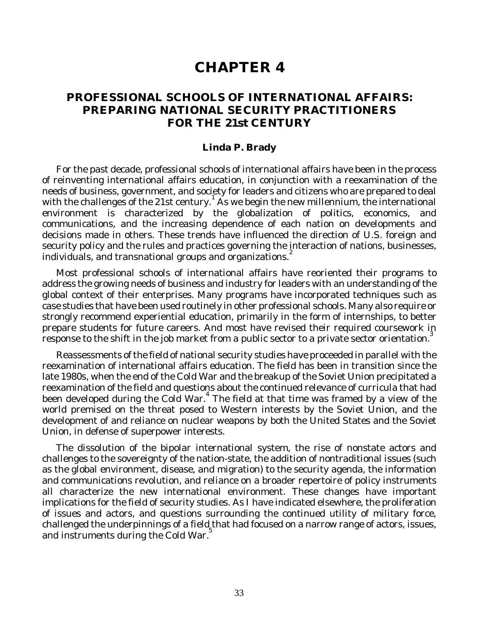# **CHAPTER 4**

## **PROFESSIONAL SCHOOLS OF INTERNATIONAL AFFAIRS: PREPARING NATIONAL SECURITY PRACTITIONERS FOR THE 21st CENTURY**

#### **Linda P. Brady**

For the past decade, professional schools of international affairs have been in the process of reinventing international affairs education, in conjunction with a reexamination of the needs of business, government, and society for leaders and citizens who are prepared to deal with the challenges of the 21st century.<sup>1</sup> As we begin the new millennium, the international environment is characterized by the globalization of politics, economics, and communications, and the increasing dependence of each nation on developments and decisions made in others. These trends have influenced the direction of U.S. foreign and security policy and the rules and practices governing the interaction of nations, businesses, individuals, and transnational groups and organizations. 2

Most professional schools of international affairs have reoriented their programs to address the growing needs of business and industry for leaders with an understanding of the global context of their enterprises. Many programs have incorporated techniques such as case studies that have been used routinely in other professional schools. Many also require or strongly recommend experiential education, primarily in the form of internships, to better prepare students for future careers. And most have revised their required coursework in response to the shift in the job market from a public sector to a private sector orientation.<sup>3</sup>

Reassessments of the field of national security studies have proceeded in parallel with the reexamination of international affairs education. The field has been in transition since the late 1980s, when the end of the Cold War and the breakup of the Soviet Union precipitated a reexamination of the field and questions about the continued relevance of curricula that had been developed during the Cold War.<sup>4</sup> The field at that time was framed by a view of the world premised on the threat posed to Western interests by the Soviet Union, and the development of and reliance on nuclear weapons by both the United States and the Soviet Union, in defense of superpower interests.

The dissolution of the bipolar international system, the rise of nonstate actors and challenges to the sovereignty of the nation-state, the addition of nontraditional issues (such as the global environment, disease, and migration) to the security agenda, the information and communications revolution, and reliance on a broader repertoire of policy instruments all characterize the new international environment. These changes have important implications for the field of security studies. As I have indicated elsewhere, the proliferation of issues and actors, and questions surrounding the continued utility of military force, challenged the underpinnings of a field that had focused on a narrow range of actors, issues, and instruments during the Cold War.<sup>5</sup>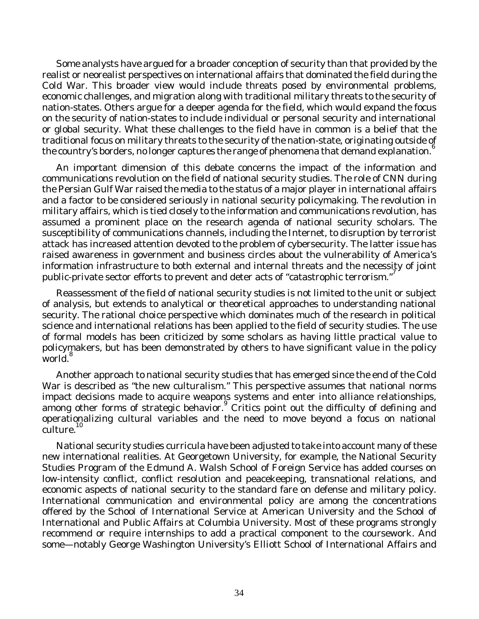Some analysts have argued for a broader conception of security than that provided by the realist or neorealist perspectives on international affairs that dominated the field during the Cold War. This broader view would include threats posed by environmental problems, economic challenges, and migration along with traditional military threats to the security of nation-states. Others argue for a deeper agenda for the field, which would expand the focus on the security of nation-states to include individual or personal security and international or global security. What these challenges to the field have in common is a belief that the traditional focus on military threats to the security of the nation-state, originating outside of the country's borders, no longer captures the range of phenomena that demand explanation.<sup>6</sup>

An important dimension of this debate concerns the impact of the information and communications revolution on the field of national security studies. The role of CNN during the Persian Gulf War raised the media to the status of a major player in international affairs and a factor to be considered seriously in national security policymaking. The revolution in military affairs, which is tied closely to the information and communications revolution, has assumed a prominent place on the research agenda of national security scholars. The susceptibility of communications channels, including the Internet, to disruption by terrorist attack has increased attention devoted to the problem of cybersecurity. The latter issue has raised awareness in government and business circles about the vulnerability of America's information infrastructure to both external and internal threats and the necessity of joint public-private sector efforts to prevent and deter acts of "catastrophic terrorism."<sup>7</sup>

Reassessment of the field of national security studies is not limited to the unit or subject of analysis, but extends to analytical or theoretical approaches to understanding national security. The rational choice perspective which dominates much of the research in political science and international relations has been applied to the field of security studies. The use of formal models has been criticized by some scholars as having little practical value to policymakers, but has been demonstrated by others to have significant value in the policy world.<sup>8</sup>

Another approach to national security studies that has emerged since the end of the Cold War is described as "the new culturalism." This perspective assumes that national norms impact decisions made to acquire weapons systems and enter into alliance relationships, among other forms of strategic behavior. Critics point out the difficulty of defining and operationalizing cultural variables and the need to move beyond a focus on national culture.<sup>10</sup>

National security studies curricula have been adjusted to take into account many of these new international realities. At Georgetown University, for example, the National Security Studies Program of the Edmund A. Walsh School of Foreign Service has added courses on low-intensity conflict, conflict resolution and peacekeeping, transnational relations, and economic aspects of national security to the standard fare on defense and military policy. International communication and environmental policy are among the concentrations offered by the School of International Service at American University and the School of International and Public Affairs at Columbia University. Most of these programs strongly recommend or require internships to add a practical component to the coursework. And some—notably George Washington University's Elliott School of International Affairs and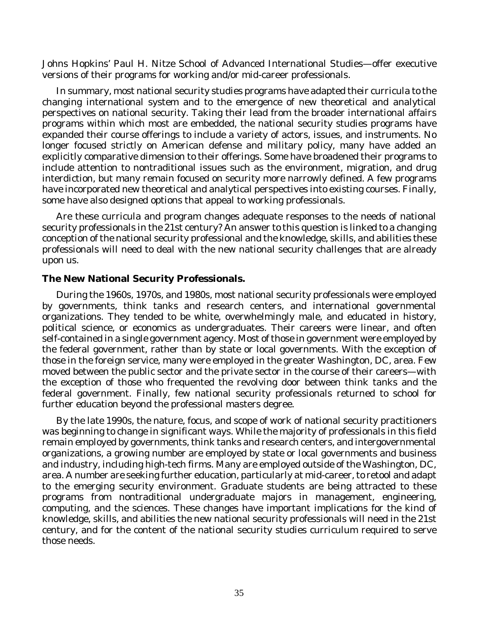Johns Hopkins' Paul H. Nitze School of Advanced International Studies—offer executive versions of their programs for working and/or mid-career professionals.

In summary, most national security studies programs have adapted their curricula to the changing international system and to the emergence of new theoretical and analytical perspectives on national security. Taking their lead from the broader international affairs programs within which most are embedded, the national security studies programs have expanded their course offerings to include a variety of actors, issues, and instruments. No longer focused strictly on American defense and military policy, many have added an explicitly comparative dimension to their offerings. Some have broadened their programs to include attention to nontraditional issues such as the environment, migration, and drug interdiction, but many remain focused on security more narrowly defined. A few programs have incorporated new theoretical and analytical perspectives into existing courses. Finally, some have also designed options that appeal to working professionals.

Are these curricula and program changes adequate responses to the needs of national security professionals in the 21st century? An answer to this question is linked to a changing conception of the national security professional and the knowledge, skills, and abilities these professionals will need to deal with the new national security challenges that are already upon us.

#### **The New National Security Professionals.**

During the 1960s, 1970s, and 1980s, most national security professionals were employed by governments, think tanks and research centers, and international governmental organizations. They tended to be white, overwhelmingly male, and educated in history, political science, or economics as undergraduates. Their careers were linear, and often self-contained in a single government agency. Most of those in government were employed by the federal government, rather than by state or local governments. With the exception of those in the foreign service, many were employed in the greater Washington, DC, area. Few moved between the public sector and the private sector in the course of their careers—with the exception of those who frequented the revolving door between think tanks and the federal government. Finally, few national security professionals returned to school for further education beyond the professional masters degree.

By the late 1990s, the nature, focus, and scope of work of national security practitioners was beginning to change in significant ways. While the majority of professionals in this field remain employed by governments, think tanks and research centers, and intergovernmental organizations, a growing number are employed by state or local governments and business and industry, including high-tech firms. Many are employed outside of the Washington, DC, area. A number are seeking further education, particularly at mid-career, to retool and adapt to the emerging security environment. Graduate students are being attracted to these programs from nontraditional undergraduate majors in management, engineering, computing, and the sciences. These changes have important implications for the kind of knowledge, skills, and abilities the new national security professionals will need in the 21st century, and for the content of the national security studies curriculum required to serve those needs.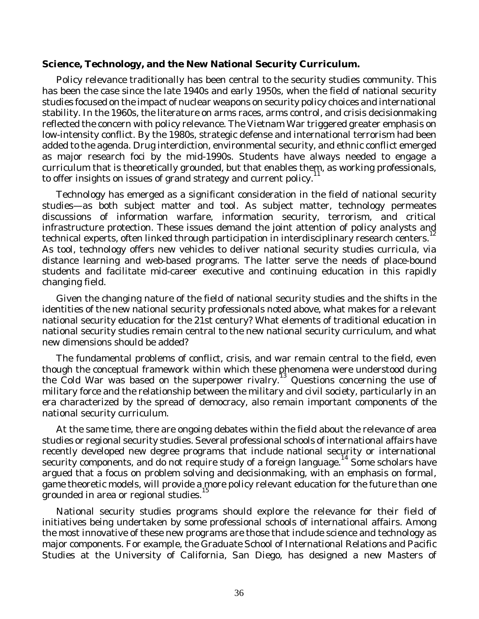#### **Science, Technology, and the New National Security Curriculum.**

Policy relevance traditionally has been central to the security studies community. This has been the case since the late 1940s and early 1950s, when the field of national security studies focused on the impact of nuclear weapons on security policy choices and international stability. In the 1960s, the literature on arms races, arms control, and crisis decisionmaking reflected the concern with policy relevance. The Vietnam War triggered greater emphasis on low-intensity conflict. By the 1980s, strategic defense and international terrorism had been added to the agenda. Drug interdiction, environmental security, and ethnic conflict emerged as major research foci by the mid-1990s. Students have always needed to engage a curriculum that is theoretically grounded, but that enables them, as working professionals,<br>to effectively the surface of weard studence and summaturelised in the film of the students of to offer insights on issues of grand strategy and current policy.

Technology has emerged as a significant consideration in the field of national security studies—as both subject matter and tool. As subject matter, technology permeates discussions of information warfare, information security, terrorism, and critical infrastructure protection. These issues demand the joint attention of policy analysts and technical experts, often linked through participation in interdisciplinary research centers. As tool, technology offers new vehicles to deliver national security studies curricula, via distance learning and web-based programs. The latter serve the needs of place-bound students and facilitate mid-career executive and continuing education in this rapidly changing field.

Given the changing nature of the field of national security studies and the shifts in the identities of the new national security professionals noted above, what makes for a relevant national security education for the 21st century? What elements of traditional education in national security studies remain central to the new national security curriculum, and what new dimensions should be added?

The fundamental problems of conflict, crisis, and war remain central to the field, even though the conceptual framework within which these phenomena were understood during the Cold War was based on the superpower rivalry. 13 Questions concerning the use of military force and the relationship between the military and civil society, particularly in an era characterized by the spread of democracy, also remain important components of the national security curriculum.

At the same time, there are ongoing debates within the field about the relevance of area studies or regional security studies. Several professional schools of international affairs have recently developed new degree programs that include national security or international security components, and do not require study of a foreign language.<sup>14</sup> Some scholars have argued that a focus on problem solving and decisionmaking, with an emphasis on formal, game theoretic models, will provide a more policy relevant education for the future than one grounded in area or regional studies.

National security studies programs should explore the relevance for their field of initiatives being undertaken by some professional schools of international affairs. Among the most innovative of these new programs are those that include science and technology as major components. For example, the Graduate School of International Relations and Pacific Studies at the University of California, San Diego, has designed a new Masters of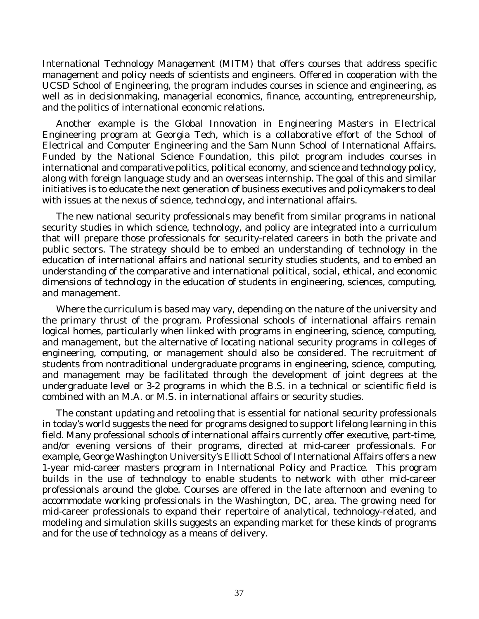International Technology Management (MITM) that offers courses that address specific management and policy needs of scientists and engineers. Offered in cooperation with the UCSD School of Engineering, the program includes courses in science and engineering, as well as in decisionmaking, managerial economics, finance, accounting, entrepreneurship, and the politics of international economic relations.

Another example is the Global Innovation in Engineering Masters in Electrical Engineering program at Georgia Tech, which is a collaborative effort of the School of Electrical and Computer Engineering and the Sam Nunn School of International Affairs. Funded by the National Science Foundation, this pilot program includes courses in international and comparative politics, political economy, and science and technology policy, along with foreign language study and an overseas internship. The goal of this and similar initiatives is to educate the next generation of business executives and policymakers to deal with issues at the nexus of science, technology, and international affairs.

The new national security professionals may benefit from similar programs in national security studies in which science, technology, and policy are integrated into a curriculum that will prepare those professionals for security-related careers in both the private and public sectors. The strategy should be to embed an understanding of technology in the education of international affairs and national security studies students, and to embed an understanding of the comparative and international political, social, ethical, and economic dimensions of technology in the education of students in engineering, sciences, computing, and management.

Where the curriculum is based may vary, depending on the nature of the university and the primary thrust of the program. Professional schools of international affairs remain logical homes, particularly when linked with programs in engineering, science, computing, and management, but the alternative of locating national security programs in colleges of engineering, computing, or management should also be considered. The recruitment of students from nontraditional undergraduate programs in engineering, science, computing, and management may be facilitated through the development of joint degrees at the undergraduate level or 3-2 programs in which the B.S. in a technical or scientific field is combined with an M.A. or M.S. in international affairs or security studies.

The constant updating and retooling that is essential for national security professionals in today's world suggests the need for programs designed to support lifelong learning in this field. Many professional schools of international affairs currently offer executive, part-time, and/or evening versions of their programs, directed at mid-career professionals. For example, George Washington University's Elliott School of International Affairs offers a new 1-year mid-career masters program in International Policy and Practice. This program builds in the use of technology to enable students to network with other mid-career professionals around the globe. Courses are offered in the late afternoon and evening to accommodate working professionals in the Washington, DC, area. The growing need for mid-career professionals to expand their repertoire of analytical, technology-related, and modeling and simulation skills suggests an expanding market for these kinds of programs and for the use of technology as a means of delivery.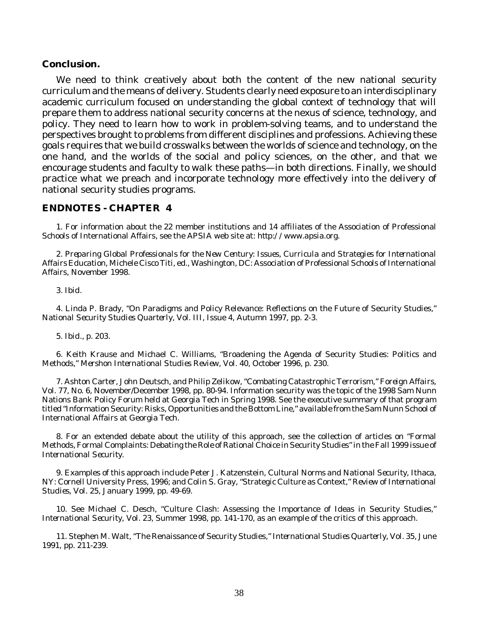#### **Conclusion.**

We need to think creatively about both the content of the new national security curriculum and the means of delivery. Students clearly need exposure to an interdisciplinary academic curriculum focused on understanding the global context of technology that will prepare them to address national security concerns at the nexus of science, technology, and policy. They need to learn how to work in problem-solving teams, and to understand the perspectives brought to problems from different disciplines and professions. Achieving these goals requires that we build crosswalks between the worlds of science and technology, on the one hand, and the worlds of the social and policy sciences, on the other, and that we encourage students and faculty to walk these paths—in both directions. Finally, we should practice what we preach and incorporate technology more effectively into the delivery of national security studies programs.

#### **ENDNOTES - CHAPTER 4**

1. For information about the 22 member institutions and 14 affiliates of the Association of Professional Schools of International Affairs, see the APSIA web site at: *http://www.apsia.org*.

2. *Preparing Global Professionals for the New Century: Issues, Curricula and Strategies for International Affairs Education*, Michele Cisco Titi, ed., Washington, DC: Association of Professional Schools of International Affairs, November 1998.

3. *Ibid*.

4. Linda P. Brady, "On Paradigms and Policy Relevance: Reflections on the Future of Security Studies," *National Security Studies Quarterly,* Vol. III, Issue 4, Autumn 1997, pp. 2-3.

5. *Ibid*., p. 203.

6. Keith Krause and Michael C. Williams, "Broadening the Agenda of Security Studies: Politics and Methods," *Mershon International Studies Review,* Vol. 40, October 1996, p. 230.

7. Ashton Carter, John Deutsch, and Philip Zelikow, "Combating Catastrophic Terrorism," *Foreign Affairs,* Vol. 77, No. 6, November/December 1998, pp. 80-94. Information security was the topic of the 1998 Sam Nunn Nations Bank Policy Forum held at Georgia Tech in Spring 1998. See the executive summary of that program titled "Information Security: Risks, Opportunities and the Bottom Line," available from the Sam Nunn School of International Affairs at Georgia Tech.

8. For an extended debate about the utility of this approach, see the collection of articles on "Formal Methods, Formal Complaints: Debating the Role of Rational Choice in Security Studies" in the Fall 1999 issue of *International Security*.

9. Examples of this approach include Peter J. Katzenstein, *Cultural Norms and National Security,* Ithaca, NY: Cornell University Press, 1996; and Colin S. Gray, "Strategic Culture as Context," *Review of International Studies,* Vol. 25, January 1999, pp. 49-69.

10. See Michael C. Desch, "Culture Clash: Assessing the Importance of Ideas in Security Studies," *International Security,* Vol. 23, Summer 1998, pp. 141-170, as an example of the critics of this approach.

11. Stephen M. Walt, "The Renaissance of Security Studies," *International Studies Quarterly,* Vol. 35, June 1991, pp. 211-239.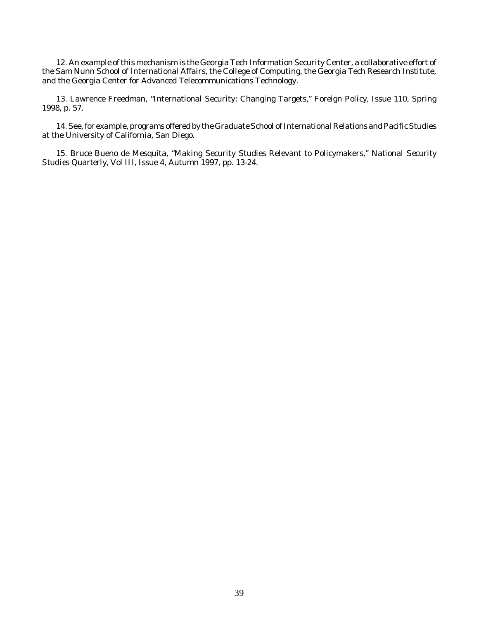12. An example of this mechanism is the Georgia Tech Information Security Center, a collaborative effort of the Sam Nunn School of International Affairs, the College of Computing, the Georgia Tech Research Institute, and the Georgia Center for Advanced Telecommunications Technology.

13. Lawrence Freedman, "International Security: Changing Targets," *Foreign Policy,* Issue 110, Spring 1998, p. 57.

14. See, for example, programs offered by the Graduate School of International Relations and Pacific Studies at the University of California, San Diego.

15. Bruce Bueno de Mesquita, "Making Security Studies Relevant to Policymakers," *National Security Studies Quarterly,* Vol III, Issue 4, Autumn 1997, pp. 13-24.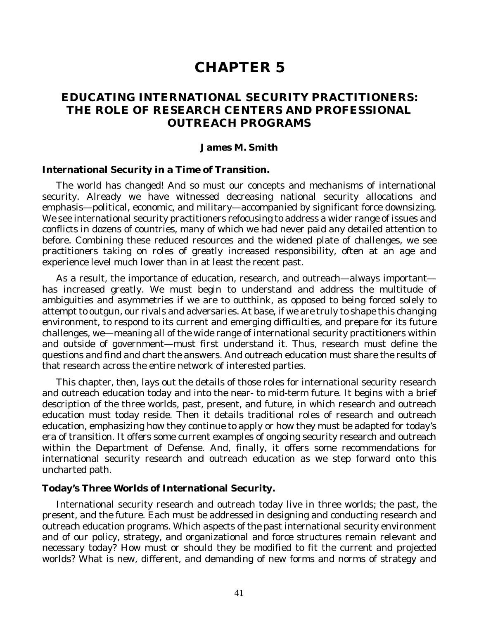# **CHAPTER 5**

## **EDUCATING INTERNATIONAL SECURITY PRACTITIONERS: THE ROLE OF RESEARCH CENTERS AND PROFESSIONAL OUTREACH PROGRAMS**

#### **James M. Smith**

#### **International Security in a Time of Transition.**

The world has changed! And so must our concepts and mechanisms of international security. Already we have witnessed decreasing national security allocations and emphasis—political, economic, and military—accompanied by significant force downsizing. We see international security practitioners refocusing to address a wider range of issues and conflicts in dozens of countries, many of which we had never paid any detailed attention to before. Combining these reduced resources and the widened plate of challenges, we see practitioners taking on roles of greatly increased responsibility, often at an age and experience level much lower than in at least the recent past.

As a result, the importance of education, research, and outreach—always important has increased greatly. We must begin to understand and address the multitude of ambiguities and asymmetries if we are to outthink, as opposed to being forced solely to attempt to outgun, our rivals and adversaries. At base, if we are truly to shape this changing environment, to respond to its current and emerging difficulties, and prepare for its future challenges, we—meaning all of the wide range of international security practitioners within and outside of government—must first understand it. Thus, research must define the questions and find and chart the answers. And outreach education must share the results of that research across the entire network of interested parties.

This chapter, then, lays out the details of those roles for international security research and outreach education today and into the near- to mid-term future. It begins with a brief description of the three worlds, past, present, and future, in which research and outreach education must today reside. Then it details traditional roles of research and outreach education, emphasizing how they continue to apply or how they must be adapted for today's era of transition. It offers some current examples of ongoing security research and outreach within the Department of Defense. And, finally, it offers some recommendations for international security research and outreach education as we step forward onto this uncharted path.

#### **Today's Three Worlds of International Security.**

International security research and outreach today live in three worlds; the past, the present, and the future. Each must be addressed in designing and conducting research and outreach education programs. Which aspects of the past international security environment and of our policy, strategy, and organizational and force structures remain relevant and necessary today? How must or should they be modified to fit the current and projected worlds? What is new, different, and demanding of new forms and norms of strategy and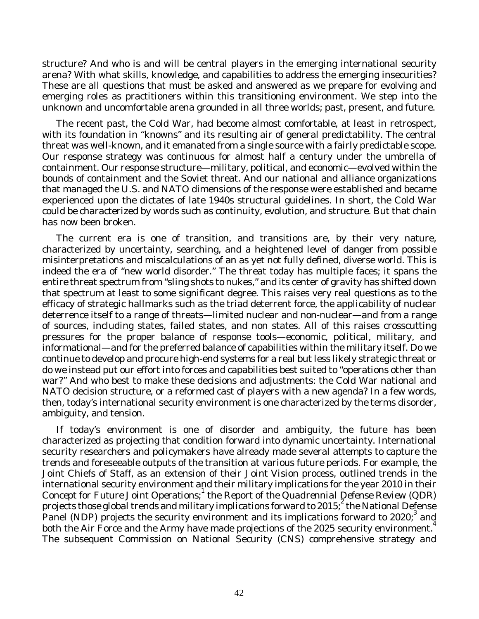structure? And who is and will be central players in the emerging international security arena? With what skills, knowledge, and capabilities to address the emerging insecurities? These are all questions that must be asked and answered as we prepare for evolving and emerging roles as practitioners within this transitioning environment. We step into the unknown and uncomfortable arena grounded in all three worlds; past, present, and future.

The recent past, the Cold War, had become almost comfortable, at least in retrospect, with its foundation in "knowns" and its resulting air of general predictability. The central threat was well-known, and it emanated from a single source with a fairly predictable scope. Our response strategy was continuous for almost half a century under the umbrella of containment. Our response structure—military, political, and economic—evolved within the bounds of containment and the Soviet threat. And our national and alliance organizations that managed the U.S. and NATO dimensions of the response were established and became experienced upon the dictates of late 1940s structural guidelines. In short, the Cold War could be characterized by words such as continuity, evolution, and structure. But that chain has now been broken.

The current era is one of transition, and transitions are, by their very nature, characterized by uncertainty, searching, and a heightened level of danger from possible misinterpretations and miscalculations of an as yet not fully defined, diverse world. This is indeed the era of "new world disorder." The threat today has multiple faces; it spans the entire threat spectrum from "sling shots to nukes," and its center of gravity has shifted down that spectrum at least to some significant degree. This raises very real questions as to the efficacy of strategic hallmarks such as the triad deterrent force, the applicability of nuclear deterrence itself to a range of threats—limited nuclear and non-nuclear—and from a range of sources, including states, failed states, and non states. All of this raises crosscutting pressures for the proper balance of response tools—economic, political, military, and informational—and for the preferred balance of capabilities within the military itself. Do we continue to develop and procure high-end systems for a real but less likely strategic threat or do we instead put our effort into forces and capabilities best suited to "operations other than war?" And who best to make these decisions and adjustments: the Cold War national and NATO decision structure, or a reformed cast of players with a new agenda? In a few words, then, today's international security environment is one characterized by the terms disorder, ambiguity, and tension.

If today's environment is one of disorder and ambiguity, the future has been characterized as projecting that condition forward into dynamic uncertainty. International security researchers and policymakers have already made several attempts to capture the trends and foreseeable outputs of the transition at various future periods. For example, the Joint Chiefs of Staff, as an extension of their *Joint Vision* process, outlined trends in the international security environment and their military implications for the year 2010 in their Concept for Future Joint Operations;<sup>1</sup> the *Report of the Quadrennial Defense Review* (QDR) projects those global trends and military implications forward to 2015;<sup>2</sup> the National Defense Panel (NDP) projects the security environment and its implications forward to 2020; and both the Air Force and the Army have made projections of the 2025 security environment.<sup>4</sup> The subsequent Commission on National Security (CNS) comprehensive strategy and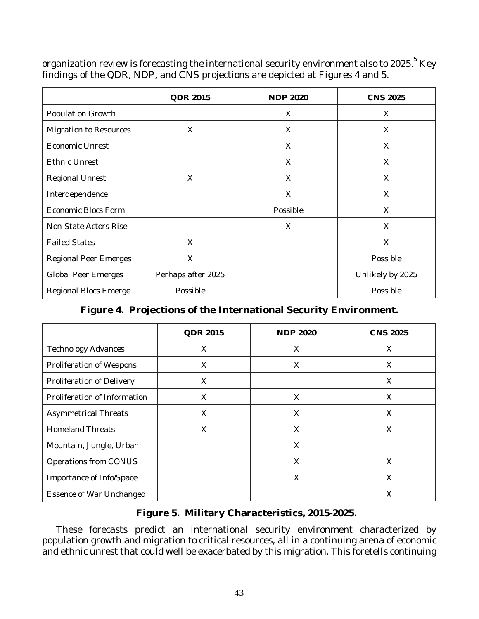organization review is forecasting the international security environment also to 2025. $^{\mathrm{5}}$  Key findings of the QDR, NDP, and CNS projections are depicted at Figures 4 and 5.

|                               | <b>QDR 2015</b>    | <b>NDP 2020</b> | <b>CNS 2025</b>  |
|-------------------------------|--------------------|-----------------|------------------|
| Population Growth             |                    | X               | X.               |
| <b>Migration to Resources</b> | X                  | X               | X                |
| <b>Economic Unrest</b>        |                    | X               | X                |
| <b>Ethnic Unrest</b>          |                    | X               | X                |
| <b>Regional Unrest</b>        | X                  | X               | X                |
| Interdependence               |                    | X               | X                |
| <b>Economic Blocs Form</b>    |                    | Possible        | X                |
| Non-State Actors Rise         |                    | X               | X                |
| <b>Failed States</b>          | X                  |                 | X                |
| <b>Regional Peer Emerges</b>  | X                  |                 | Possible         |
| <b>Global Peer Emerges</b>    | Perhaps after 2025 |                 | Unlikely by 2025 |
| <b>Regional Blocs Emerge</b>  | Possible           |                 | Possible         |

### **Figure 4. Projections of the International Security Environment.**

|                                 | <b>QDR 2015</b> | <b>NDP 2020</b> | <b>CNS 2025</b> |
|---------------------------------|-----------------|-----------------|-----------------|
| <b>Technology Advances</b>      | X               | X               | X               |
| Proliferation of Weapons        | X               | X               | X               |
| Proliferation of Delivery       | $\times$        |                 | X               |
| Proliferation of Information    | X               | X               | X               |
| <b>Asymmetrical Threats</b>     | X               | X               | X               |
| <b>Homeland Threats</b>         | X               | X               | X               |
| Mountain, Jungle, Urban         |                 | X               |                 |
| Operations from CONUS           |                 | X               | X               |
| Importance of Info/Space        |                 | Χ               | X               |
| <b>Essence of War Unchanged</b> |                 |                 | X               |

### **Figure 5. Military Characteristics, 2015-2025.**

These forecasts predict an international security environment characterized by population growth and migration to critical resources, all in a continuing arena of economic and ethnic unrest that could well be exacerbated by this migration. This foretells continuing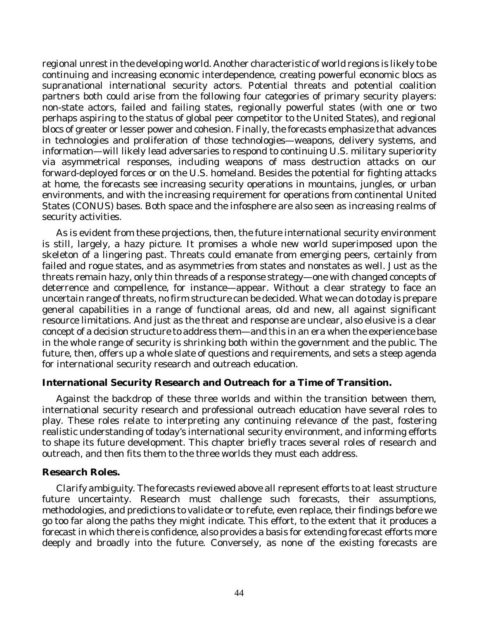regional unrest in the developing world. Another characteristic of world regions is likely to be continuing and increasing economic interdependence, creating powerful economic blocs as supranational international security actors. Potential threats and potential coalition partners both could arise from the following four categories of primary security players: non-state actors, failed and failing states, regionally powerful states (with one or two perhaps aspiring to the status of global peer competitor to the United States), and regional blocs of greater or lesser power and cohesion. Finally, the forecasts emphasize that advances in technologies and proliferation of those technologies—weapons, delivery systems, and information—will likely lead adversaries to respond to continuing U.S. military superiority via asymmetrical responses, including weapons of mass destruction attacks on our forward-deployed forces or on the U.S. homeland. Besides the potential for fighting attacks at home, the forecasts see increasing security operations in mountains, jungles, or urban environments, and with the increasing requirement for operations from continental United States (CONUS) bases. Both space and the infosphere are also seen as increasing realms of security activities.

As is evident from these projections, then, the future international security environment is still, largely, a hazy picture. It promises a whole new world superimposed upon the skeleton of a lingering past. Threats could emanate from emerging peers, certainly from failed and rogue states, and as asymmetries from states and nonstates as well. Just as the threats remain hazy, only thin threads of a response strategy—one with changed concepts of deterrence and compellence, for instance—appear. Without a clear strategy to face an uncertain range of threats, no firm structure can be decided. What we can do today is prepare general capabilities in a range of functional areas, old and new, all against significant resource limitations. And just as the threat and response are unclear, also elusive is a clear concept of a decision structure to address them—and this in an era when the experience base in the whole range of security is shrinking both within the government and the public. The future, then, offers up a whole slate of questions and requirements, and sets a steep agenda for international security research and outreach education.

### **International Security Research and Outreach for a Time of Transition.**

Against the backdrop of these three worlds and within the transition between them, international security research and professional outreach education have several roles to play. These roles relate to interpreting any continuing relevance of the past, fostering realistic understanding of today's international security environment, and informing efforts to shape its future development. This chapter briefly traces several roles of research and outreach, and then fits them to the three worlds they must each address.

### **Research Roles.**

*Clarify ambiguity*. The forecasts reviewed above all represent efforts to at least structure future uncertainty. Research must challenge such forecasts, their assumptions, methodologies, and predictions to validate or to refute, even replace, their findings before we go too far along the paths they might indicate. This effort, to the extent that it produces a forecast in which there is confidence, also provides a basis for extending forecast efforts more deeply and broadly into the future. Conversely, as none of the existing forecasts are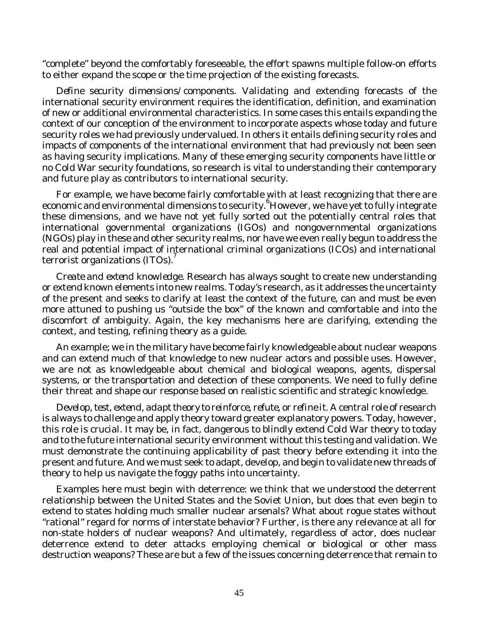"complete" beyond the comfortably foreseeable, the effort spawns multiple follow-on efforts to either expand the scope or the time projection of the existing forecasts.

*Define security dimensions/components*. Validating and extending forecasts of the international security environment requires the identification, definition, and examination of new or additional environmental characteristics. In some cases this entails expanding the context of our conception of the environment to incorporate aspects whose today and future security roles we had previously undervalued. In others it entails defining security roles and impacts of components of the international environment that had previously not been seen as having security implications. Many of these emerging security components have little or no Cold War security foundations, so research is vital to understanding their contemporary and future play as contributors to international security.

For example, we have become fairly comfortable with at least recognizing that there are economic and environmental dimensions to security. <sup>6</sup>However, we have yet to fully integrate these dimensions, and we have not yet fully sorted out the potentially central roles that international governmental organizations (IGOs) and nongovernmental organizations (NGOs) play in these and other security realms, nor have we even really begun to address the real and potential impact of international criminal organizations (ICOs) and international terrorist organizations (ITOs). 7

*Create and extend knowledge*. Research has always sought to create new understanding or extend known elements into new realms. Today's research, as it addresses the uncertainty of the present and seeks to clarify at least the context of the future, can and must be even more attuned to pushing us "outside the box" of the known and comfortable and into the discomfort of ambiguity. Again, the key mechanisms here are clarifying, extending the context, and testing, refining theory as a guide.

An example; we in the military have become fairly knowledgeable about nuclear weapons and can extend much of that knowledge to new nuclear actors and possible uses. However, we are not as knowledgeable about chemical and biological weapons, agents, dispersal systems, or the transportation and detection of these components. We need to fully define their threat and shape our response based on realistic scientific and strategic knowledge.

*Develop, test, extend, adapt theory to reinforce, refute, or refine it*. A central role of research is always to challenge and apply theory toward greater explanatory powers. Today, however, this role is crucial. It may be, in fact, dangerous to blindly extend Cold War theory to today and to the future international security environment without this testing and validation. We must demonstrate the continuing applicability of past theory before extending it into the present and future. And we must seek to adapt, develop, and begin to validate new threads of theory to help us navigate the foggy paths into uncertainty.

Examples here must begin with deterrence: we think that we understood the deterrent relationship between the United States and the Soviet Union, but does that even begin to extend to states holding much smaller nuclear arsenals? What about rogue states without "rational" regard for norms of interstate behavior? Further, is there any relevance at all for non-state holders of nuclear weapons? And ultimately, regardless of actor, does nuclear deterrence extend to deter attacks employing chemical or biological or other mass destruction weapons? These are but a few of the issues concerning deterrence that remain to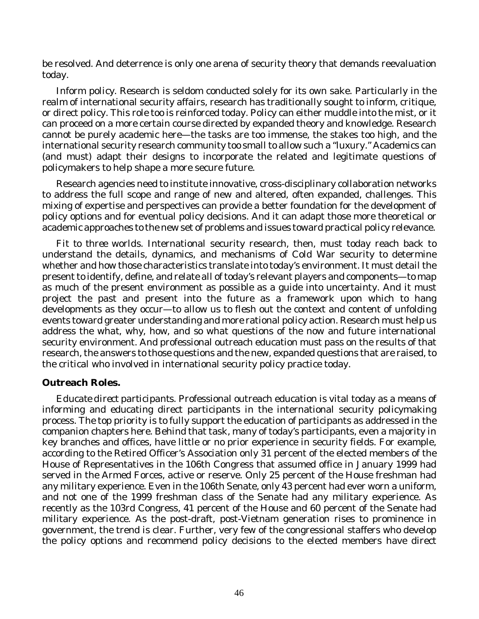be resolved. And deterrence is only one arena of security theory that demands reevaluation today.

*Inform policy*. Research is seldom conducted solely for its own sake. Particularly in the realm of international security affairs, research has traditionally sought to inform, critique, or direct policy. This role too is reinforced today. Policy can either muddle into the mist, or it can proceed on a more certain course directed by expanded theory and knowledge. Research cannot be purely academic here—the tasks are too immense, the stakes too high, and the international security research community too small to allow such a "luxury." Academics can (and must) adapt their designs to incorporate the related and legitimate questions of policymakers to help shape a more secure future.

Research agencies need to institute innovative, cross-disciplinary collaboration networks to address the full scope and range of new and altered, often expanded, challenges. This mixing of expertise and perspectives can provide a better foundation for the development of policy options and for eventual policy decisions. And it can adapt those more theoretical or academic approaches to the new set of problems and issues toward practical policy relevance.

*Fit to three worlds*. International security research, then, must today reach back to understand the details, dynamics, and mechanisms of Cold War security to determine whether and how those characteristics translate into today's environment. It must detail the present to identify, define, and relate all of today's relevant players and components—to map as much of the present environment as possible as a guide into uncertainty. And it must project the past and present into the future as a framework upon which to hang developments as they occur—to allow us to flesh out the context and content of unfolding events toward greater understanding and more rational policy action. Research must help us address the *what*, *why*, *how*, and *so what* questions of the now and future international security environment. And professional outreach education must pass on the results of that research, the answers to those questions and the new, expanded questions that are raised, to the critical *who* involved in international security policy practice today.

### **Outreach Roles.**

*Educate direct participants*. Professional outreach education is vital today as a means of informing and educating direct participants in the international security policymaking process. The top priority is to fully support the education of participants as addressed in the companion chapters here. Behind that task, many of today's participants, even a majority in key branches and offices, have little or no prior experience in security fields. For example, according to the Retired Officer's Association only 31 percent of the elected members of the House of Representatives in the 106th Congress that assumed office in January 1999 had served in the Armed Forces, active or reserve. Only 25 percent of the House freshman had any military experience. Even in the 106th Senate, only 43 percent had ever worn a uniform, and not one of the 1999 freshman class of the Senate had any military experience. As recently as the 103rd Congress, 41 percent of the House and 60 percent of the Senate had military experience. As the post-draft, post-Vietnam generation rises to prominence in government, the trend is clear. Further, very few of the congressional staffers who develop the policy options and recommend policy decisions to the elected members have direct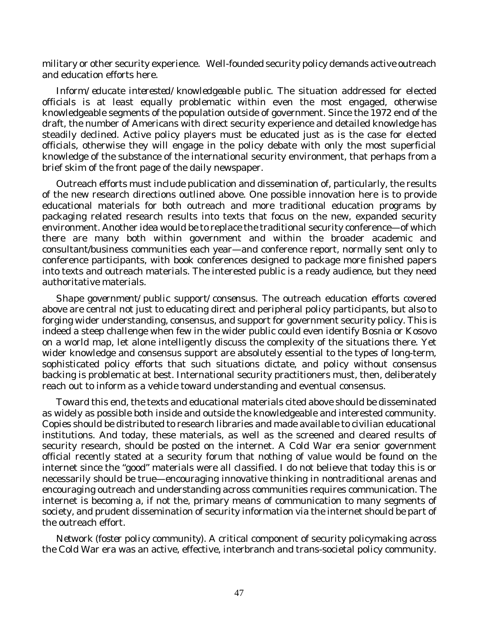military or other security experience. Well-founded security policy demands active outreach and education efforts here.

*Inform/educate interested/knowledgeable public*. The situation addressed for elected officials is at least equally problematic within even the most engaged, otherwise knowledgeable segments of the population outside of government. Since the 1972 end of the draft, the number of Americans with direct security experience and detailed knowledge has steadily declined. Active policy players must be educated just as is the case for elected officials, otherwise they will engage in the policy debate with only the most superficial knowledge of the substance of the international security environment, that perhaps from a brief skim of the front page of the daily newspaper.

Outreach efforts must include publication and dissemination of, particularly, the results of the new research directions outlined above. One possible innovation here is to provide educational materials for both outreach and more traditional education programs by packaging related research results into texts that focus on the new, expanded security environment. Another idea would be to replace the traditional security conference—of which there are many both within government and within the broader academic and consultant/business communities each year—and conference report, normally sent only to conference participants, with book conferences designed to package more finished papers into texts and outreach materials. The interested public is a ready audience, but they need authoritative materials.

*Shape government/public support/consensus*. The outreach education efforts covered above are central not just to educating direct and peripheral policy participants, but also to forging wider understanding, consensus, and support for government security policy. This is indeed a steep challenge when few in the wider public could even identify Bosnia or Kosovo on a world map, let alone intelligently discuss the complexity of the situations there. Yet wider knowledge and consensus support are absolutely essential to the types of long-term, sophisticated policy efforts that such situations dictate, and policy without consensus backing is problematic at best. International security practitioners must, then, deliberately reach out to inform as a vehicle toward understanding and eventual consensus.

Toward this end, the texts and educational materials cited above should be disseminated as widely as possible both inside and outside the knowledgeable and interested community. Copies should be distributed to research libraries and made available to civilian educational institutions. And today, these materials, as well as the screened and cleared results of security research, should be posted on the internet. A Cold War era senior government official recently stated at a security forum that nothing of value would be found on the internet since the "good" materials were all classified. I do not believe that today this is or necessarily should be true—encouraging innovative thinking in nontraditional arenas and encouraging outreach and understanding across communities requires communication. The internet is becoming a, if not the, primary means of communication to many segments of society, and prudent dissemination of security information via the internet should be part of the outreach effort.

*Network (foster policy community)*. A critical component of security policymaking across the Cold War era was an active, effective, interbranch and trans-societal policy community.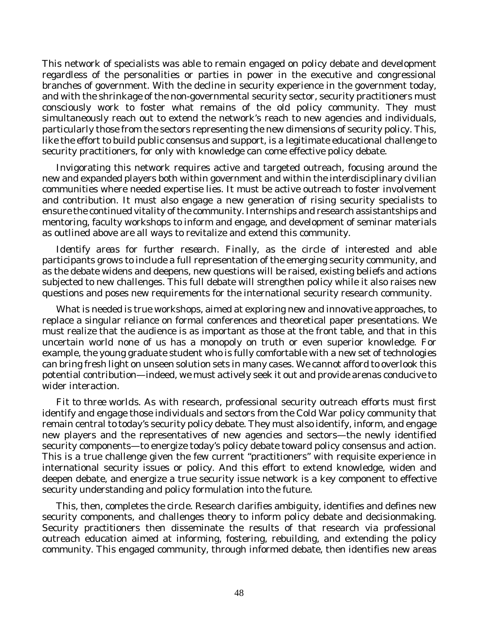This network of specialists was able to remain engaged on policy debate and development regardless of the personalities or parties in power in the executive and congressional branches of government. With the decline in security experience in the government today, and with the shrinkage of the non-governmental security sector, security practitioners must consciously work to foster what remains of the old policy community. They must simultaneously reach out to extend the network's reach to new agencies and individuals, particularly those from the sectors representing the new dimensions of security policy. This, like the effort to build public consensus and support, is a legitimate educational challenge to security practitioners, for only with knowledge can come effective policy debate.

Invigorating this network requires active and targeted outreach, focusing around the new and expanded players both within government and within the interdisciplinary civilian communities where needed expertise lies. It must be active outreach to foster involvement and contribution. It must also engage a new generation of rising security specialists to ensure the continued vitality of the community. Internships and research assistantships and mentoring, faculty workshops to inform and engage, and development of seminar materials as outlined above are all ways to revitalize and extend this community.

*Identify areas for further research*. Finally, as the circle of interested and able participants grows to include a full representation of the emerging security community, and as the debate widens and deepens, new questions will be raised, existing beliefs and actions subjected to new challenges. This full debate will strengthen policy while it also raises new questions and poses new requirements for the international security research community.

What is needed is true workshops, aimed at exploring new and innovative approaches, to replace a singular reliance on formal conferences and theoretical paper presentations. We must realize that the audience is as important as those at the front table, and that in this uncertain world none of us has a monopoly on truth or even superior knowledge. For example, the young graduate student who is fully comfortable with a new set of technologies can bring fresh light on unseen solution sets in many cases. We cannot afford to overlook this potential contribution—indeed, we must actively seek it out and provide arenas conducive to wider interaction.

*Fit to three worlds*. As with research, professional security outreach efforts must first identify and engage those individuals and sectors from the Cold War policy community that remain central to today's security policy debate. They must also identify, inform, and engage new players and the representatives of new agencies and sectors—the newly identified security components—to energize today's policy debate toward policy consensus and action. This is a true challenge given the few current "practitioners" with requisite experience in international security issues or policy. And this effort to extend knowledge, widen and deepen debate, and energize a true security issue network is a key component to effective security understanding and policy formulation into the future.

This, then, completes the circle. Research clarifies ambiguity, identifies and defines new security components, and challenges theory to inform policy debate and decisionmaking. Security practitioners then disseminate the results of that research via professional outreach education aimed at informing, fostering, rebuilding, and extending the policy community. This engaged community, through informed debate, then identifies new areas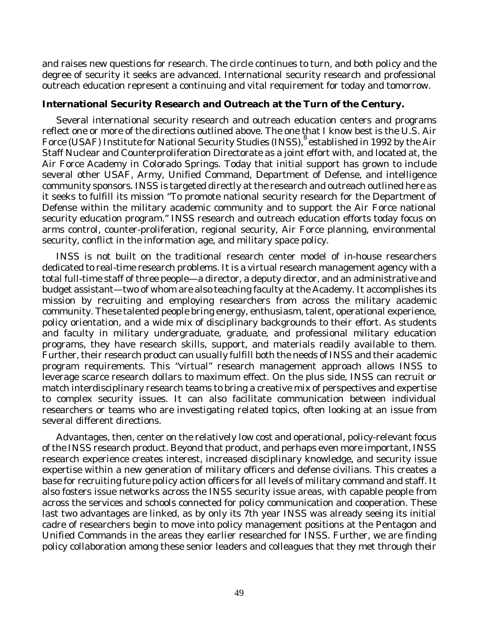and raises new questions for research. The circle continues to turn, and both policy and the degree of security it seeks are advanced. International security research and professional outreach education represent a continuing and vital requirement for today and tomorrow.

#### **International Security Research and Outreach at the Turn of the Century.**

Several international security research and outreach education centers and programs reflect one or more of the directions outlined above. The one that I know best is the U.S. Air Force (USAF) Institute for National Security Studies (INSS), <sup>8</sup>established in 1992 by the Air Staff Nuclear and Counterproliferation Directorate as a joint effort with, and located at, the Air Force Academy in Colorado Springs. Today that initial support has grown to include several other USAF, Army, Unified Command, Department of Defense, and intelligence community sponsors. INSS is targeted directly at the research and outreach outlined here as it seeks to fulfill its mission "To promote national security research for the Department of Defense within the military academic community and to support the Air Force national security education program." INSS research and outreach education efforts today focus on arms control, counter-proliferation, regional security, Air Force planning, environmental security, conflict in the information age, and military space policy.

INSS is not built on the traditional research center model of in-house researchers dedicated to real-time research problems. It is a virtual research management agency with a total full-time staff of three people—a director, a deputy director, and an administrative and budget assistant—two of whom are also teaching faculty at the Academy. It accomplishes its mission by recruiting and employing researchers from across the military academic community. These talented people bring energy, enthusiasm, talent, operational experience, policy orientation, and a wide mix of disciplinary backgrounds to their effort. As students and faculty in military undergraduate, graduate, and professional military education programs, they have research skills, support, and materials readily available to them. Further, their research product can usually fulfill both the needs of INSS and their academic program requirements. This "virtual" research management approach allows INSS to leverage scarce research dollars to maximum effect. On the plus side, INSS can recruit or match interdisciplinary research teams to bring a creative mix of perspectives and expertise to complex security issues. It can also facilitate communication between individual researchers or teams who are investigating related topics, often looking at an issue from several different directions.

Advantages, then, center on the relatively low cost and operational, policy-relevant focus of the INSS research product. Beyond that product, and perhaps even more important, INSS research experience creates interest, increased disciplinary knowledge, and security issue expertise within a new generation of military officers and defense civilians. This creates a base for recruiting future policy action officers for all levels of military command and staff. It also fosters issue networks across the INSS security issue areas, with capable people from across the services and schools connected for policy communication and cooperation. These last two advantages are linked, as by only its 7th year INSS was already seeing its initial cadre of researchers begin to move into policy management positions at the Pentagon and Unified Commands in the areas they earlier researched for INSS. Further, we are finding policy collaboration among these senior leaders and colleagues that they met through their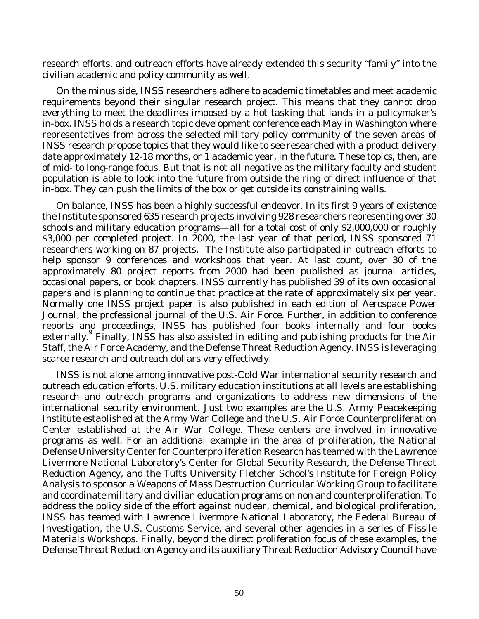research efforts, and outreach efforts have already extended this security "family" into the civilian academic and policy community as well.

On the minus side, INSS researchers adhere to academic timetables and meet academic requirements beyond their singular research project. This means that they cannot drop everything to meet the deadlines imposed by a hot tasking that lands in a policymaker's in-box. INSS holds a research topic development conference each May in Washington where representatives from across the selected military policy community of the seven areas of INSS research propose topics that they would like to see researched with a product delivery date approximately 12-18 months, or 1 academic year, in the future. These topics, then, are of mid- to long-range focus. But that is not all negative as the military faculty and student population is able to look into the future from outside the ring of direct influence of that in-box. They can push the limits of the box or get outside its constraining walls.

On balance, INSS has been a highly successful endeavor. In its first 9 years of existence the Institute sponsored 635 research projects involving 928 researchers representing over 30 schools and military education programs—all for a total cost of only \$2,000,000 or roughly \$3,000 per completed project. In 2000, the last year of that period, INSS sponsored 71 researchers working on 87 projects. The Institute also participated in outreach efforts to help sponsor 9 conferences and workshops that year. At last count, over 30 of the approximately 80 project reports from 2000 had been published as journal articles, occasional papers, or book chapters. INSS currently has published 39 of its own occasional papers and is planning to continue that practice at the rate of approximately six per year. Normally one INSS project paper is also published in each edition of *Aerospace Power Journal*, the professional journal of the U.S. Air Force. Further, in addition to conference reports and proceedings, INSS has published four books internally and four books externally. Finally, INSS has also assisted in editing and publishing products for the Air Staff, the Air Force Academy, and the Defense Threat Reduction Agency. INSS is leveraging scarce research and outreach dollars very effectively.

INSS is not alone among innovative post-Cold War international security research and outreach education efforts. U.S. military education institutions at all levels are establishing research and outreach programs and organizations to address new dimensions of the international security environment. Just two examples are the U.S. Army Peacekeeping Institute established at the Army War College and the U.S. Air Force Counterproliferation Center established at the Air War College. These centers are involved in innovative programs as well. For an additional example in the area of proliferation, the National Defense University Center for Counterproliferation Research has teamed with the Lawrence Livermore National Laboratory's Center for Global Security Research, the Defense Threat Reduction Agency, and the Tufts University Fletcher School's Institute for Foreign Policy Analysis to sponsor a Weapons of Mass Destruction Curricular Working Group to facilitate and coordinate military and civilian education programs on non and counterproliferation. To address the policy side of the effort against nuclear, chemical, and biological proliferation, INSS has teamed with Lawrence Livermore National Laboratory, the Federal Bureau of Investigation, the U.S. Customs Service, and several other agencies in a series of Fissile Materials Workshops. Finally, beyond the direct proliferation focus of these examples, the Defense Threat Reduction Agency and its auxiliary Threat Reduction Advisory Council have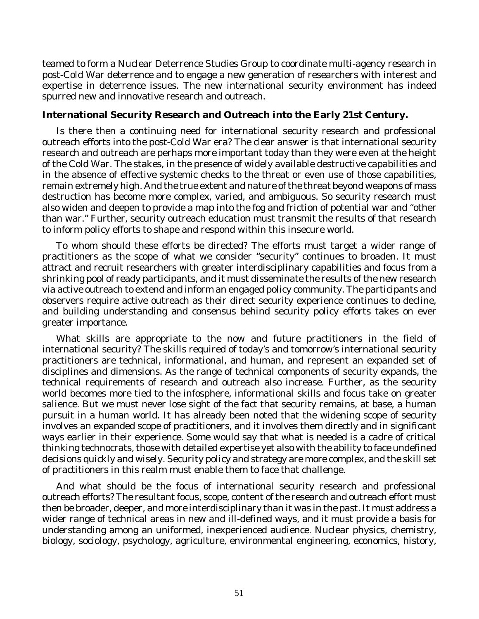teamed to form a Nuclear Deterrence Studies Group to coordinate multi-agency research in post-Cold War deterrence and to engage a new generation of researchers with interest and expertise in deterrence issues. The new international security environment has indeed spurred new and innovative research and outreach.

#### **International Security Research and Outreach into the Early 21st Century.**

Is there then a continuing need for international security research and professional outreach efforts into the post-Cold War era? The clear answer is that international security research and outreach are perhaps more important today than they were even at the height of the Cold War. The stakes, in the presence of widely available destructive capabilities and in the absence of effective systemic checks to the threat or even use of those capabilities, remain extremely high. And the true extent and nature of the threat beyond weapons of mass destruction has become more complex, varied, and ambiguous. So security research must also widen and deepen to provide a map into the fog and friction of potential war and "other than war." Further, security outreach education must transmit the results of that research to inform policy efforts to shape and respond within this insecure world.

To whom should these efforts be directed? The efforts must target a wider range of practitioners as the scope of what we consider "security" continues to broaden. It must attract and recruit researchers with greater interdisciplinary capabilities and focus from a shrinking pool of ready participants, and it must disseminate the results of the new research via active outreach to extend and inform an engaged policy community. The participants and observers require active outreach as their direct security experience continues to decline, and building understanding and consensus behind security policy efforts takes on ever greater importance.

What skills are appropriate to the now and future practitioners in the field of international security? The skills required of today's and tomorrow's international security practitioners are technical, informational, and human, and represent an expanded set of disciplines and dimensions. As the range of technical components of security expands, the technical requirements of research and outreach also increase. Further, as the security world becomes more tied to the infosphere, informational skills and focus take on greater salience. But we must never lose sight of the fact that security remains, at base, a human pursuit in a human world. It has already been noted that the widening scope of security involves an expanded scope of practitioners, and it involves them directly and in significant ways earlier in their experience. Some would say that what is needed is a cadre of critical thinking technocrats, those with detailed expertise yet also with the ability to face undefined decisions quickly and wisely. Security policy and strategy are more complex, and the skill set of practitioners in this realm must enable them to face that challenge.

And what should be the focus of international security research and professional outreach efforts? The resultant focus, scope, content of the research and outreach effort must then be broader, deeper, and more interdisciplinary than it was in the past. It must address a wider range of technical areas in new and ill-defined ways, and it must provide a basis for understanding among an uniformed, inexperienced audience. Nuclear physics, chemistry, biology, sociology, psychology, agriculture, environmental engineering, economics, history,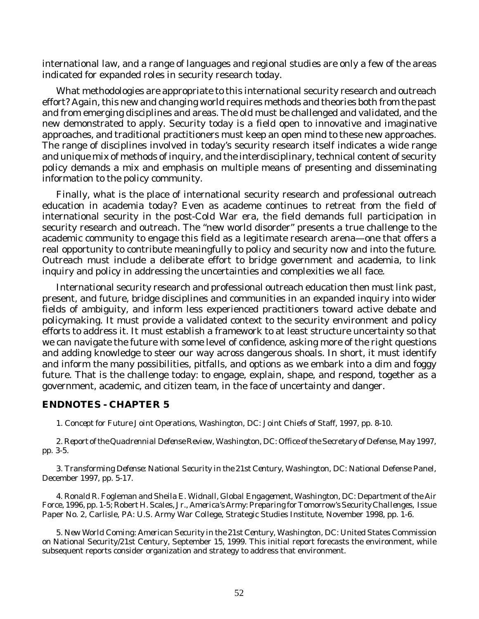international law, and a range of languages and regional studies are only a few of the areas indicated for expanded roles in security research today.

What methodologies are appropriate to this international security research and outreach effort? Again, this new and changing world requires methods and theories both from the past and from emerging disciplines and areas. The old must be challenged and validated, and the new demonstrated to apply. Security today is a field open to innovative and imaginative approaches, and traditional practitioners must keep an open mind to these new approaches. The range of disciplines involved in today's security research itself indicates a wide range and unique mix of methods of inquiry, and the interdisciplinary, technical content of security policy demands a mix and emphasis on multiple means of presenting and disseminating information to the policy community.

Finally, what is the place of international security research and professional outreach education in academia today? Even as academe continues to retreat from the field of international security in the post-Cold War era, the field demands full participation in security research and outreach. The "new world disorder" presents a true challenge to the academic community to engage this field as a legitimate research arena—one that offers a real opportunity to contribute meaningfully to policy and security now and into the future. Outreach must include a deliberate effort to bridge government and academia, to link inquiry and policy in addressing the uncertainties and complexities we all face.

International security research and professional outreach education then must link past, present, and future, bridge disciplines and communities in an expanded inquiry into wider fields of ambiguity, and inform less experienced practitioners toward active debate and policymaking. It must provide a validated context to the security environment and policy efforts to address it. It must establish a framework to at least structure uncertainty so that we can navigate the future with some level of confidence, asking more of the right questions and adding knowledge to steer our way across dangerous shoals. In short, it must identify and inform the many possibilities, pitfalls, and options as we embark into a dim and foggy future. That is the challenge today: to engage, explain, shape, and respond, together as a government, academic, and citizen team, in the face of uncertainty and danger.

#### **ENDNOTES - CHAPTER 5**

1. *Concept for Future Joint Operations,* Washington, DC: Joint Chiefs of Staff, 1997, pp. 8-10.

2. *Report of the Quadrennial Defense Review,* Washington, DC: Office of the Secretary of Defense, May 1997, pp. 3-5.

3. *Transforming Defense: National Security in the 21st Century,* Washington, DC: National Defense Panel, December 1997, pp. 5-17.

4. Ronald R. Fogleman and Sheila E. Widnall, *Global Engagement,* Washington, DC: Department of the Air Force, 1996, pp. 1-5; Robert H. Scales, Jr., *America's Army: Preparing for Tomorrow's Security Challenges*, Issue Paper No. 2, Carlisle, PA: U.S. Army War College, Strategic Studies Institute, November 1998, pp. 1-6.

5. *New World Coming: American Security in the 21st Century,* Washington, DC: United States Commission on National Security/21st Century, September 15, 1999. This initial report forecasts the environment, while subsequent reports consider organization and strategy to address that environment.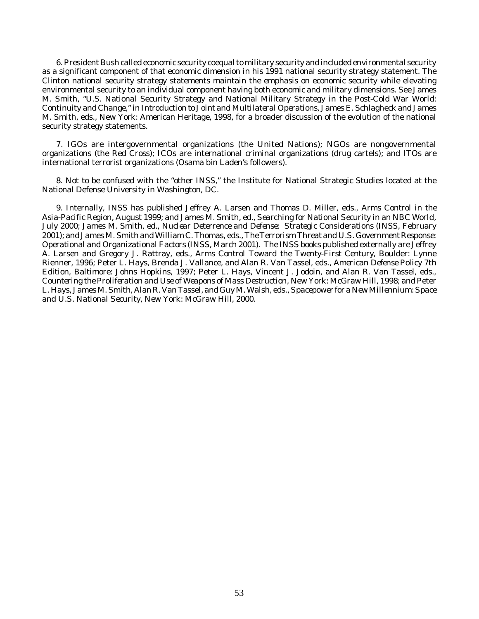6. President Bush called economic security coequal to military security and included environmental security as a significant component of that economic dimension in his 1991 national security strategy statement. The Clinton national security strategy statements maintain the emphasis on economic security while elevating environmental security to an individual component having both economic and military dimensions. See James M. Smith, "U.S. National Security Strategy and National Military Strategy in the Post-Cold War World: Continuity and Change," in *Introduction to Joint and Multilateral Operations*, James E. Schlagheck and James M. Smith, eds., New York: American Heritage, 1998, for a broader discussion of the evolution of the national security strategy statements.

7. IGOs are intergovernmental organizations (the United Nations); NGOs are nongovernmental organizations (the Red Cross); ICOs are international criminal organizations (drug cartels); and ITOs are international terrorist organizations (Osama bin Laden's followers).

8. Not to be confused with the "other INSS," the Institute for National Strategic Studies located at the National Defense University in Washington, DC.

9. Internally, INSS has published Jeffrey A. Larsen and Thomas D. Miller, eds., *Arms Control in the Asia-Pacific Region*, August 1999; and James M. Smith, ed., *Searching for National Security in an NBC World*, July 2000; James M. Smith, ed., *Nuclear Deterrence and Defense: Strategic Considerations* (INSS, February 2001); and James M. Smith and William C. Thomas, eds.,*The Terrorism Threat and U.S. Government Response: Operational and Organizational Factors* (INSS, March 2001). The INSS books published externally are Jeffrey A. Larsen and Gregory J. Rattray, eds., *Arms Control Toward the Twenty-First Century*, Boulder: Lynne Rienner, 1996; Peter L. Hays, Brenda J. Vallance, and Alan R. Van Tassel, eds., *American Defense Policy* 7th Edition, Baltimore: Johns Hopkins, 1997; Peter L. Hays, Vincent J. Jodoin, and Alan R. Van Tassel, eds., *Countering the Proliferation and Use of Weapons of Mass Destruction*, New York: McGraw Hill, 1998; and Peter L. Hays, James M. Smith, Alan R. Van Tassel, and Guy M. Walsh, eds.,*Spacepower for a New Millennium: Space and U.S. National Security*, New York: McGraw Hill, 2000.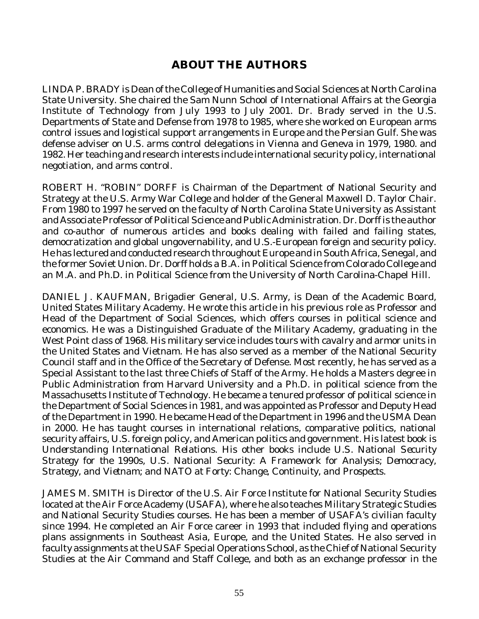## **ABOUT THE AUTHORS**

LINDA P. BRADY is Dean of the College of Humanities and Social Sciences at North Carolina State University. She chaired the Sam Nunn School of International Affairs at the Georgia Institute of Technology from July 1993 to July 2001. Dr. Brady served in the U.S. Departments of State and Defense from 1978 to 1985, where she worked on European arms control issues and logistical support arrangements in Europe and the Persian Gulf. She was defense adviser on U.S. arms control delegations in Vienna and Geneva in 1979, 1980. and 1982. Her teaching and research interests include international security policy, international negotiation, and arms control.

ROBERT H. "ROBIN" DORFF is Chairman of the Department of National Security and Strategy at the U.S. Army War College and holder of the General Maxwell D. Taylor Chair. From 1980 to 1997 he served on the faculty of North Carolina State University as Assistant and Associate Professor of Political Science and Public Administration. Dr. Dorff is the author and co-author of numerous articles and books dealing with failed and failing states, democratization and global ungovernability, and U.S.-European foreign and security policy. He has lectured and conducted research throughout Europe and in South Africa, Senegal, and the former Soviet Union. Dr. Dorff holds a B.A. in Political Science from Colorado College and an M.A. and Ph.D. in Political Science from the University of North Carolina-Chapel Hill.

DANIEL J. KAUFMAN, Brigadier General, U.S. Army, is Dean of the Academic Board, United States Military Academy. He wrote this article in his previous role as Professor and Head of the Department of Social Sciences, which offers courses in political science and economics. He was a Distinguished Graduate of the Military Academy, graduating in the West Point class of 1968. His military service includes tours with cavalry and armor units in the United States and Vietnam. He has also served as a member of the National Security Council staff and in the Office of the Secretary of Defense. Most recently, he has served as a Special Assistant to the last three Chiefs of Staff of the Army. He holds a Masters degree in Public Administration from Harvard University and a Ph.D. in political science from the Massachusetts Institute of Technology. He became a tenured professor of political science in the Department of Social Sciences in 1981, and was appointed as Professor and Deputy Head of the Department in 1990. He became Head of the Department in 1996 and the USMA Dean in 2000. He has taught courses in international relations, comparative politics, national security affairs, U.S. foreign policy, and American politics and government. His latest book is *Understanding International Relations*. His other books include *U.S. National Security Strategy for the 1990s*, *U.S. National Security: A Framework for Analysis; Democracy, Strategy, and Vietnam*; and *NATO at Forty: Change, Continuity, and Prospects*.

JAMES M. SMITH is Director of the U.S. Air Force Institute for National Security Studies located at the Air Force Academy (USAFA), where he also teaches Military Strategic Studies and National Security Studies courses. He has been a member of USAFA's civilian faculty since 1994. He completed an Air Force career in 1993 that included flying and operations plans assignments in Southeast Asia, Europe, and the United States. He also served in faculty assignments at the USAF Special Operations School, as the Chief of National Security Studies at the Air Command and Staff College, and both as an exchange professor in the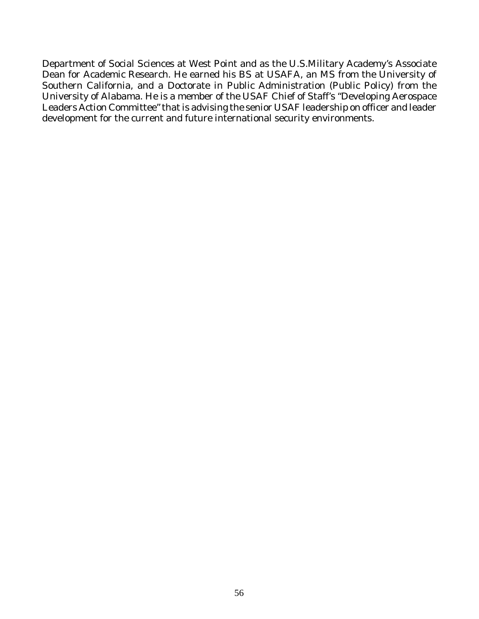Department of Social Sciences at West Point and as the U.S.Military Academy's Associate Dean for Academic Research. He earned his BS at USAFA, an MS from the University of Southern California, and a Doctorate in Public Administration (Public Policy) from the University of Alabama. He is a member of the USAF Chief of Staff's "Developing Aerospace Leaders Action Committee" that is advising the senior USAF leadership on officer and leader development for the current and future international security environments.